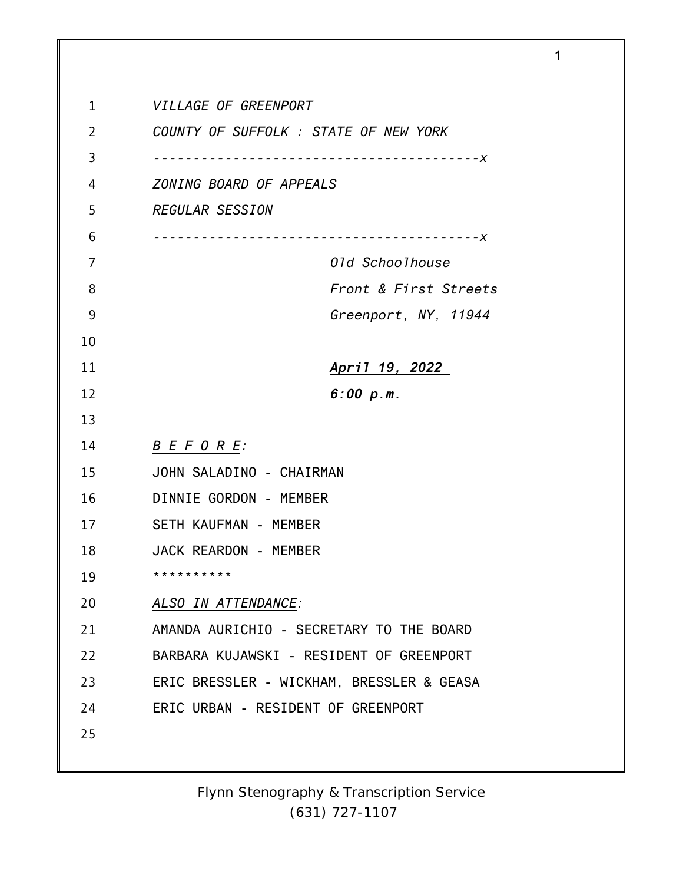| 1              | VILLAGE OF GREENPORT                      |
|----------------|-------------------------------------------|
| $\overline{2}$ | COUNTY OF SUFFOLK : STATE OF NEW YORK     |
| 3              | . <i>– – – –</i> X                        |
| 4              | ZONING BOARD OF APPEALS                   |
| 5              | <b>REGULAR SESSION</b>                    |
|                |                                           |
| 6              | . – – – <i>X</i>                          |
| 7              | 01d Schoolhouse                           |
| 8              | Front & First Streets                     |
| 9              | Greenport, NY, 11944                      |
| 10             |                                           |
| 11             | <u>April 19, 2022</u>                     |
| 12             | 6:00 p.m.                                 |
| 13             |                                           |
| 14             | B E F O R E                               |
| 15             | JOHN SALADINO - CHAIRMAN                  |
| 16             | DINNIE GORDON - MEMBER                    |
| 17             | SETH KAUFMAN - MEMBER                     |
| 18             | JACK REARDON - MEMBER                     |
| 19             | * * * * * * * * * *                       |
| 20             | ALSO IN ATTENDANCE:                       |
| 21             | AMANDA AURICHIO - SECRETARY TO THE BOARD  |
| 22             | BARBARA KUJAWSKI - RESIDENT OF GREENPORT  |
| 23             | ERIC BRESSLER - WICKHAM, BRESSLER & GEASA |
| 24             | ERIC URBAN - RESIDENT OF GREENPORT        |
| 25             |                                           |
|                |                                           |

1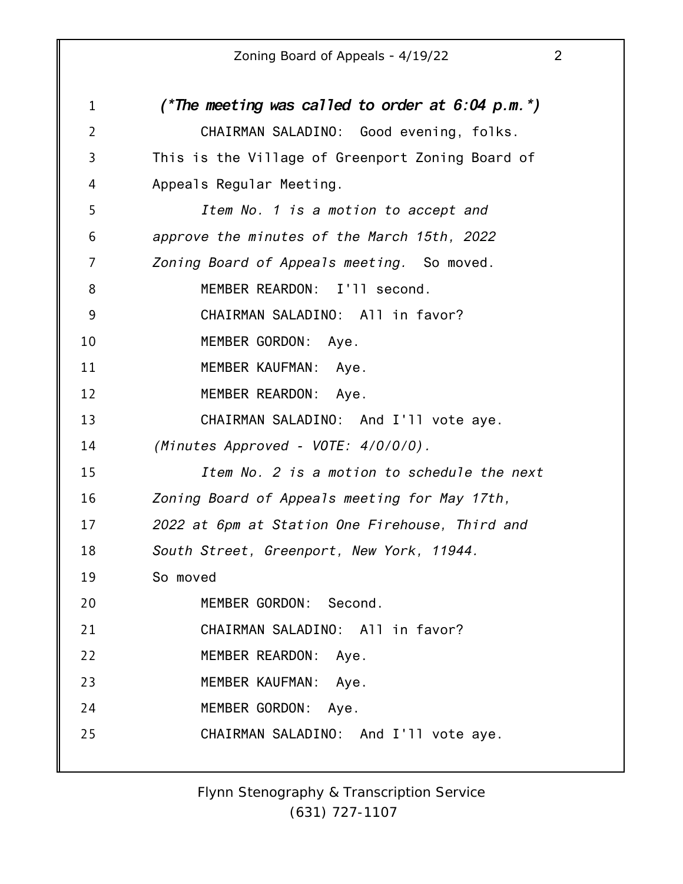| $\mathbf{1}$   | (*The meeting was called to order at $6:04$ p.m.*) |
|----------------|----------------------------------------------------|
| $\overline{2}$ | CHAIRMAN SALADINO: Good evening, folks.            |
| 3              | This is the Village of Greenport Zoning Board of   |
| 4              | Appeals Regular Meeting.                           |
| 5              | Item No. 1 is a motion to accept and               |
| 6              | approve the minutes of the March 15th, 2022        |
| 7              | Zoning Board of Appeals meeting. So moved.         |
| 8              | MEMBER REARDON: I'll second.                       |
| 9              | CHAIRMAN SALADINO: All in favor?                   |
| 10             | MEMBER GORDON: Aye.                                |
| 11             | MEMBER KAUFMAN: Aye.                               |
| 12             | MEMBER REARDON: Aye.                               |
| 13             | CHAIRMAN SALADINO: And I'll vote aye.              |
| 14             | (Minutes Approved - VOTE: 4/0/0/0).                |
| 15             | Item No. 2 is a motion to schedule the next        |
| 16             | Zoning Board of Appeals meeting for May 17th,      |
| 17             | 2022 at 6pm at Station One Firehouse, Third and    |
| 18             | South Street, Greenport, New York, 11944.          |
| 19             | So moved                                           |
| 20             | MEMBER GORDON: Second.                             |
| 21             | CHAIRMAN SALADINO: All in favor?                   |
| 22             | MEMBER REARDON: Aye.                               |
| 23             | MEMBER KAUFMAN: Aye.                               |
| 24             | MEMBER GORDON: Aye.                                |
| 25             | CHAIRMAN SALADINO: And I'll vote aye.              |
|                |                                                    |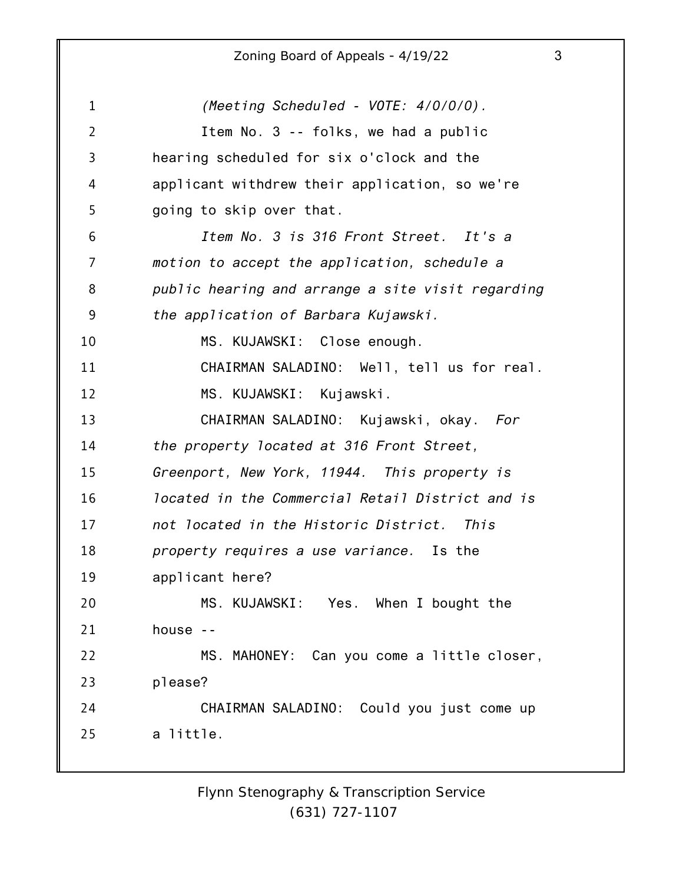1 2 3 4 5 6 7 8 9 10 11 12 13 14 15 16 17 18 19 20 21 22 23 24 25 *(Meeting Scheduled - VOTE: 4/0/0/0).* Item No. 3 -- folks, we had a public hearing scheduled for six o'clock and the applicant withdrew their application, so we're going to skip over that. *Item No. 3 is 316 Front Street. It's a motion to accept the application, schedule a public hearing and arrange a site visit regarding the application of Barbara Kujawski.* MS. KUJAWSKI: Close enough. CHAIRMAN SALADINO: Well, tell us for real. MS. KUJAWSKI: Kujawski. CHAIRMAN SALADINO: Kujawski, okay. *For the property located at 316 Front Street, Greenport, New York, 11944. This property is located in the Commercial Retail District and is not located in the Historic District. This property requires a use variance.* Is the applicant here? MS. KUJAWSKI: Yes. When I bought the house -- MS. MAHONEY: Can you come a little closer, please? CHAIRMAN SALADINO: Could you just come up a little.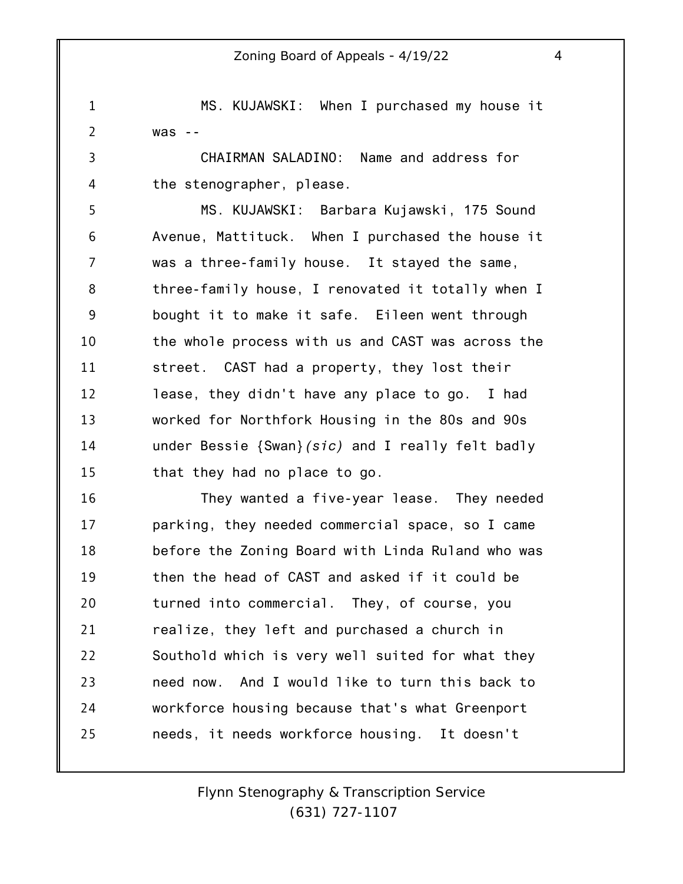1 2 MS. KUJAWSKI: When I purchased my house it was --

3 4 CHAIRMAN SALADINO: Name and address for the stenographer, please.

5 6 7 8 9 10 11 12 13 14 15 MS. KUJAWSKI: Barbara Kujawski, 175 Sound Avenue, Mattituck. When I purchased the house it was a three-family house. It stayed the same, three-family house, I renovated it totally when I bought it to make it safe. Eileen went through the whole process with us and CAST was across the street. CAST had a property, they lost their lease, they didn't have any place to go. I had worked for Northfork Housing in the 80s and 90s under Bessie {Swan}*(sic)* and I really felt badly that they had no place to go.

16 17 18 19 20 21 22 23 24 25 They wanted a five-year lease. They needed parking, they needed commercial space, so I came before the Zoning Board with Linda Ruland who was then the head of CAST and asked if it could be turned into commercial. They, of course, you realize, they left and purchased a church in Southold which is very well suited for what they need now. And I would like to turn this back to workforce housing because that's what Greenport needs, it needs workforce housing. It doesn't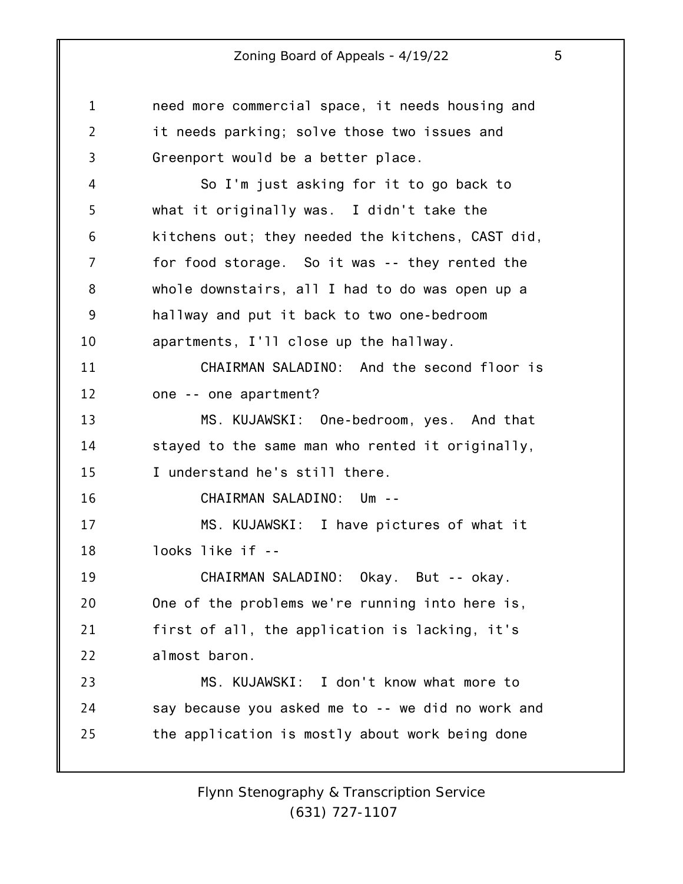1 2 3 4 5 6 7 8 9 10 11 12 13 14 15 16 17 18 19 20 21 22 23 24 25 need more commercial space, it needs housing and it needs parking; solve those two issues and Greenport would be a better place. So I'm just asking for it to go back to what it originally was. I didn't take the kitchens out; they needed the kitchens, CAST did, for food storage. So it was -- they rented the whole downstairs, all I had to do was open up a hallway and put it back to two one-bedroom apartments, I'll close up the hallway. CHAIRMAN SALADINO: And the second floor is one -- one apartment? MS. KUJAWSKI: One-bedroom, yes. And that stayed to the same man who rented it originally, I understand he's still there. CHAIRMAN SALADINO: Um -- MS. KUJAWSKI: I have pictures of what it looks like if -- CHAIRMAN SALADINO: Okay. But -- okay. One of the problems we're running into here is, first of all, the application is lacking, it's almost baron. MS. KUJAWSKI: I don't know what more to say because you asked me to -- we did no work and the application is mostly about work being done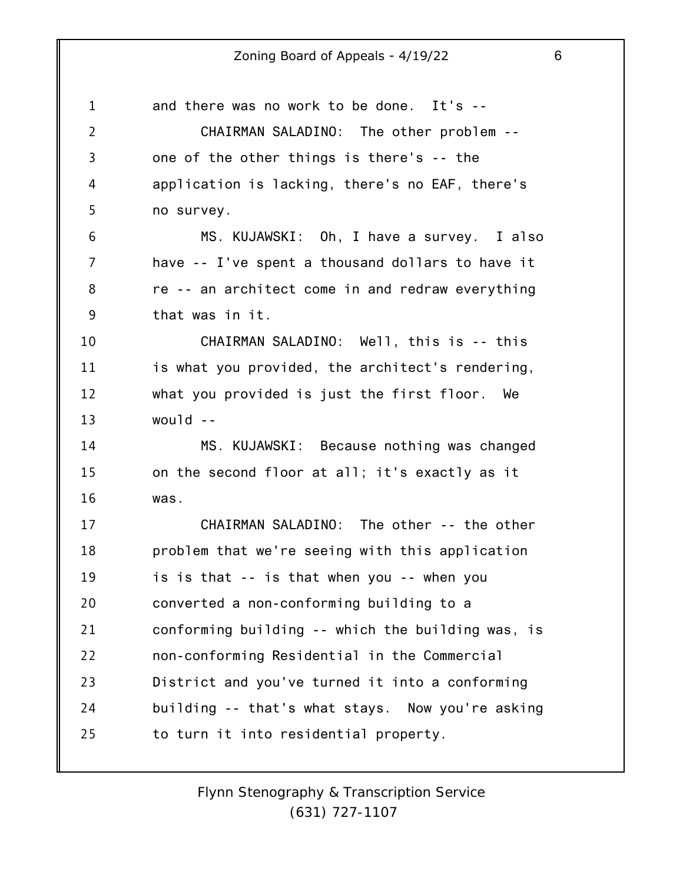1 2 3 4 5 6 7 8 9 10 11 12 13 14 15 16 17 18 19 20 21 22 23 24 25 and there was no work to be done. It's -- CHAIRMAN SALADINO: The other problem - one of the other things is there's -- the application is lacking, there's no EAF, there's no survey. MS. KUJAWSKI: Oh, I have a survey. I also have -- I've spent a thousand dollars to have it re -- an architect come in and redraw everything that was in it. CHAIRMAN SALADINO: Well, this is -- this is what you provided, the architect's rendering, what you provided is just the first floor. We  $woul(d - -$ MS. KUJAWSKI: Because nothing was changed on the second floor at all; it's exactly as it was. CHAIRMAN SALADINO: The other -- the other problem that we're seeing with this application is is that -- is that when you -- when you converted a non-conforming building to a conforming building -- which the building was, is non-conforming Residential in the Commercial District and you've turned it into a conforming building -- that's what stays. Now you're asking to turn it into residential property.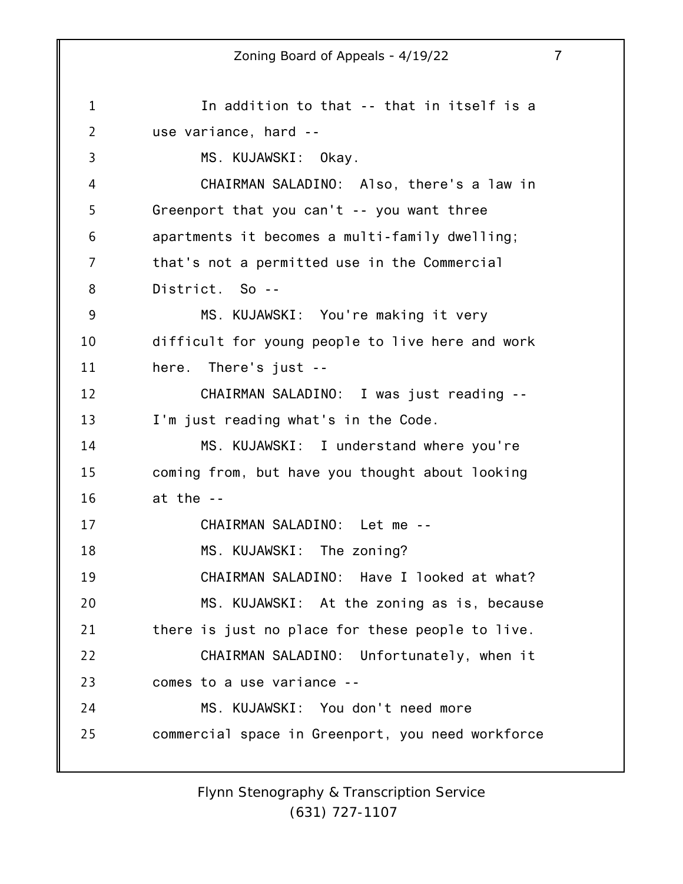1 2 3 4 5 6 7 8 9 10 11 12 13 14 15 16 17 18 19 20 21 22 23 24 25 In addition to that -- that in itself is a use variance, hard -- MS. KUJAWSKI: Okay. CHAIRMAN SALADINO: Also, there's a law in Greenport that you can't -- you want three apartments it becomes a multi-family dwelling; that's not a permitted use in the Commercial District. So -- MS. KUJAWSKI: You're making it very difficult for young people to live here and work here. There's just -- CHAIRMAN SALADINO: I was just reading -- I'm just reading what's in the Code. MS. KUJAWSKI: I understand where you're coming from, but have you thought about looking at the -- CHAIRMAN SALADINO: Let me -- MS. KUJAWSKI: The zoning? CHAIRMAN SALADINO: Have I looked at what? MS. KUJAWSKI: At the zoning as is, because there is just no place for these people to live. CHAIRMAN SALADINO: Unfortunately, when it comes to a use variance -- MS. KUJAWSKI: You don't need more commercial space in Greenport, you need workforce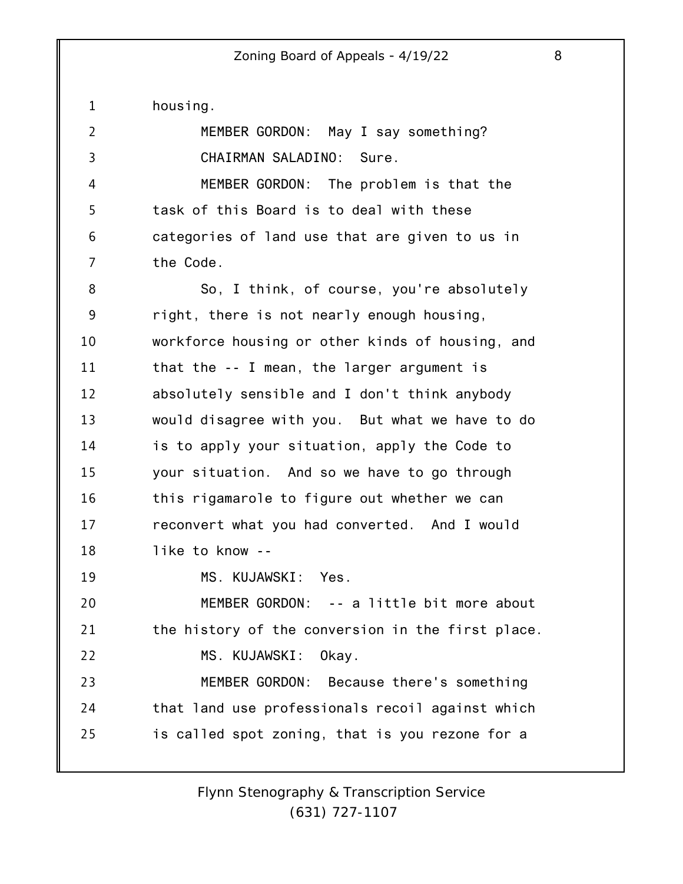1 2 3 4 5 6 7 8 9 10 11 12 13 14 15 16 17 18 19 20 21 22 23 24 25 housing. MEMBER GORDON: May I say something? CHAIRMAN SALADINO: Sure. MEMBER GORDON: The problem is that the task of this Board is to deal with these categories of land use that are given to us in the Code. So, I think, of course, you're absolutely right, there is not nearly enough housing, workforce housing or other kinds of housing, and that the -- I mean, the larger argument is absolutely sensible and I don't think anybody would disagree with you. But what we have to do is to apply your situation, apply the Code to your situation. And so we have to go through this rigamarole to figure out whether we can reconvert what you had converted. And I would like to know -- MS. KUJAWSKI: Yes. MEMBER GORDON: -- a little bit more about the history of the conversion in the first place. MS. KUJAWSKI: Okay. MEMBER GORDON: Because there's something that land use professionals recoil against which is called spot zoning, that is you rezone for a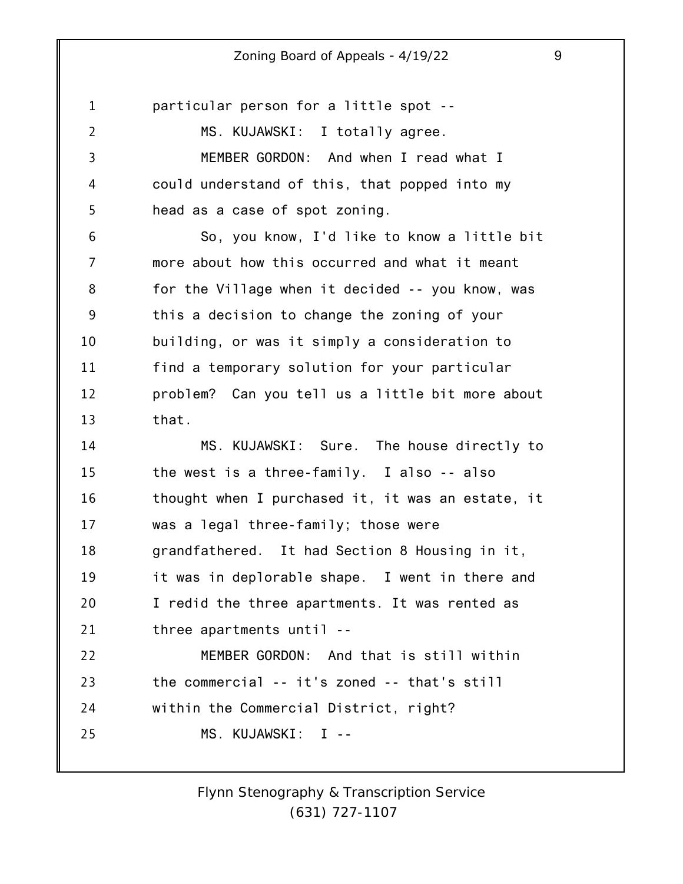1 2 3 4 5 6 7 8 9 10 11 12 13 14 15 16 17 18 19 20 21 22 23 24 25 particular person for a little spot -- MS. KUJAWSKI: I totally agree. MEMBER GORDON: And when I read what I could understand of this, that popped into my head as a case of spot zoning. So, you know, I'd like to know a little bit more about how this occurred and what it meant for the Village when it decided -- you know, was this a decision to change the zoning of your building, or was it simply a consideration to find a temporary solution for your particular problem? Can you tell us a little bit more about that. MS. KUJAWSKI: Sure. The house directly to the west is a three-family. I also -- also thought when I purchased it, it was an estate, it was a legal three-family; those were grandfathered. It had Section 8 Housing in it, it was in deplorable shape. I went in there and I redid the three apartments. It was rented as three apartments until -- MEMBER GORDON: And that is still within the commercial -- it's zoned -- that's still within the Commercial District, right? MS. KUJAWSKI: I --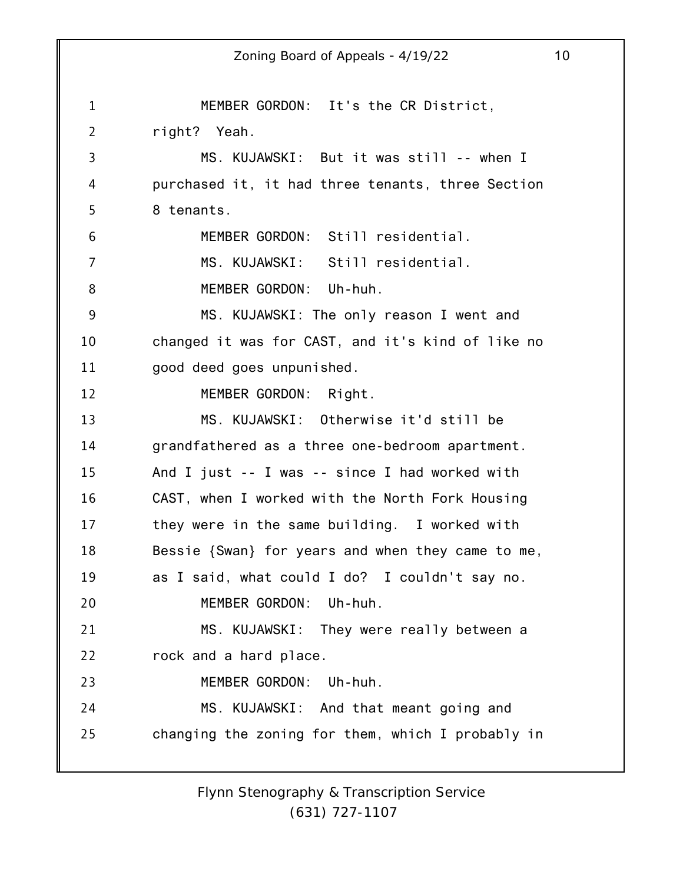1 2 3 4 5 6 7 8 9 10 11 12 13 14 15 16 17 18 19 20 21 22 23 24 25 Zoning Board of Appeals - 4/19/22 10 MEMBER GORDON: It's the CR District, right? Yeah. MS. KUJAWSKI: But it was still -- when I purchased it, it had three tenants, three Section 8 tenants. MEMBER GORDON: Still residential. MS. KUJAWSKI: Still residential. MEMBER GORDON: Uh-huh. MS. KUJAWSKI: The only reason I went and changed it was for CAST, and it's kind of like no good deed goes unpunished. MEMBER GORDON: Right. MS. KUJAWSKI: Otherwise it'd still be grandfathered as a three one-bedroom apartment. And I just -- I was -- since I had worked with CAST, when I worked with the North Fork Housing they were in the same building. I worked with Bessie {Swan} for years and when they came to me, as I said, what could I do? I couldn't say no. MEMBER GORDON: Uh-huh. MS. KUJAWSKI: They were really between a rock and a hard place. MEMBER GORDON: Uh-huh. MS. KUJAWSKI: And that meant going and changing the zoning for them, which I probably in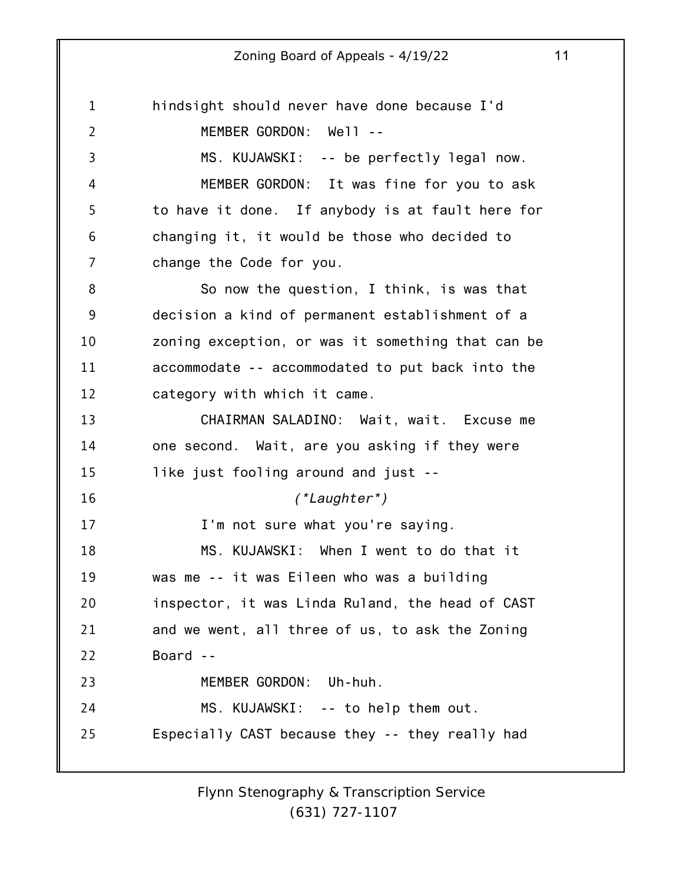1 2 3 4 5 6 7 8 9 10 11 12 13 14 15 16 17 18 19 20 21 22 23 24 25 hindsight should never have done because I'd MEMBER GORDON: Well -- MS. KUJAWSKI: -- be perfectly legal now. MEMBER GORDON: It was fine for you to ask to have it done. If anybody is at fault here for changing it, it would be those who decided to change the Code for you. So now the question, I think, is was that decision a kind of permanent establishment of a zoning exception, or was it something that can be accommodate -- accommodated to put back into the category with which it came. CHAIRMAN SALADINO: Wait, wait. Excuse me one second. Wait, are you asking if they were like just fooling around and just -- *(\*Laughter\*)* I'm not sure what you're saying. MS. KUJAWSKI: When I went to do that it was me -- it was Eileen who was a building inspector, it was Linda Ruland, the head of CAST and we went, all three of us, to ask the Zoning Board -- MEMBER GORDON: Uh-huh. MS. KUJAWSKI: -- to help them out. Especially CAST because they -- they really had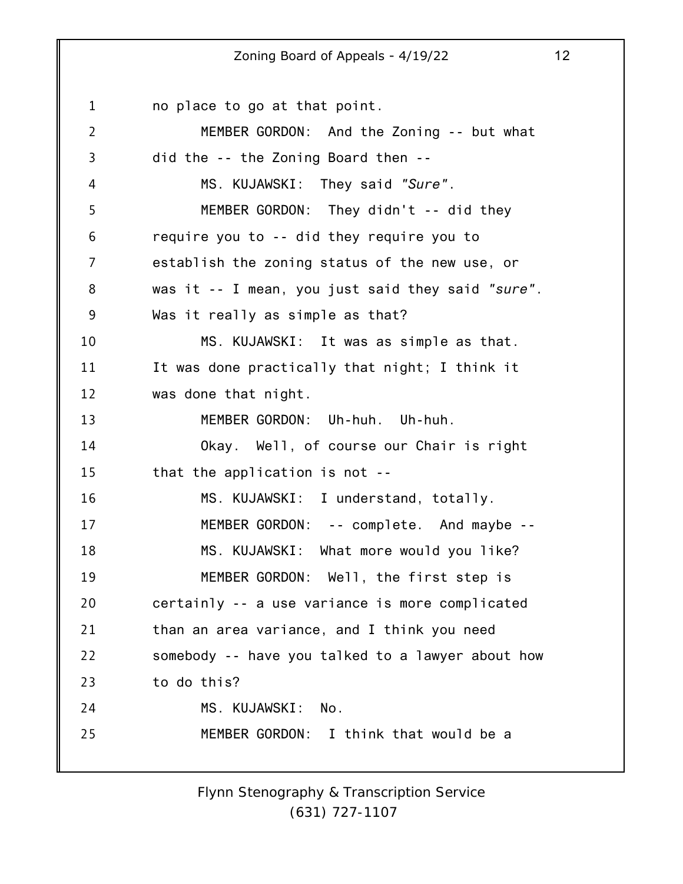1 2 3 4 5 6 7 8 9 10 11 12 13 14 15 16 17 18 19 20 21 22 23 24 25 no place to go at that point. MEMBER GORDON: And the Zoning -- but what did the -- the Zoning Board then -- MS. KUJAWSKI: They said *"Sure"*. MEMBER GORDON: They didn't -- did they require you to -- did they require you to establish the zoning status of the new use, or was it -- I mean, you just said they said *"sure"*. Was it really as simple as that? MS. KUJAWSKI: It was as simple as that. It was done practically that night; I think it was done that night. MEMBER GORDON: Uh-huh. Uh-huh. Okay. Well, of course our Chair is right that the application is not -- MS. KUJAWSKI: I understand, totally. MEMBER GORDON: -- complete. And maybe -- MS. KUJAWSKI: What more would you like? MEMBER GORDON: Well, the first step is certainly -- a use variance is more complicated than an area variance, and I think you need somebody -- have you talked to a lawyer about how to do this? MS. KUJAWSKI: No. MEMBER GORDON: I think that would be a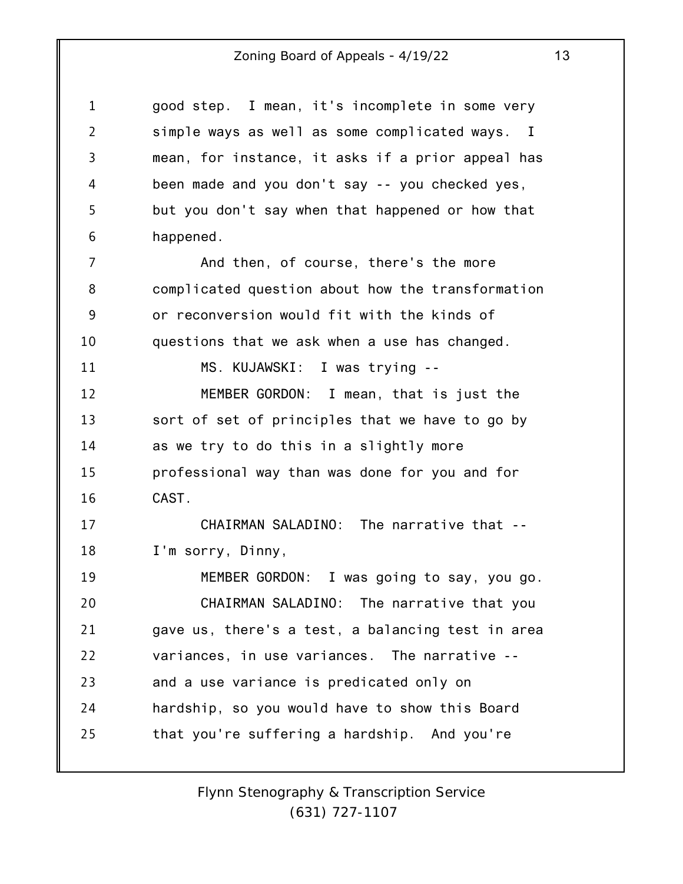| $\mathbf{1}$   | good step. I mean, it's incomplete in some very               |
|----------------|---------------------------------------------------------------|
| $\overline{2}$ | simple ways as well as some complicated ways.<br>$\mathbf{I}$ |
| $\overline{3}$ | mean, for instance, it asks if a prior appeal has             |
| 4              | been made and you don't say -- you checked yes,               |
| 5              | but you don't say when that happened or how that              |
| 6              | happened.                                                     |
| 7              | And then, of course, there's the more                         |
| 8              | complicated question about how the transformation             |
| 9              | or reconversion would fit with the kinds of                   |
| 10             | questions that we ask when a use has changed.                 |
| 11             | MS. KUJAWSKI: I was trying --                                 |
| 12             | MEMBER GORDON: I mean, that is just the                       |
| 13             | sort of set of principles that we have to go by               |
| 14             | as we try to do this in a slightly more                       |
| 15             | professional way than was done for you and for                |
| 16             | CAST.                                                         |
| 17             | CHAIRMAN SALADINO: The narrative that --                      |
| 18             | I'm sorry, Dinny,                                             |
| 19             | MEMBER GORDON: I was going to say, you go.                    |
| 20             | CHAIRMAN SALADINO: The narrative that you                     |
| 21             | gave us, there's a test, a balancing test in area             |
| 22             | variances, in use variances. The narrative --                 |
| 23             | and a use variance is predicated only on                      |
| 24             | hardship, so you would have to show this Board                |
| 25             | that you're suffering a hardship. And you're                  |
|                |                                                               |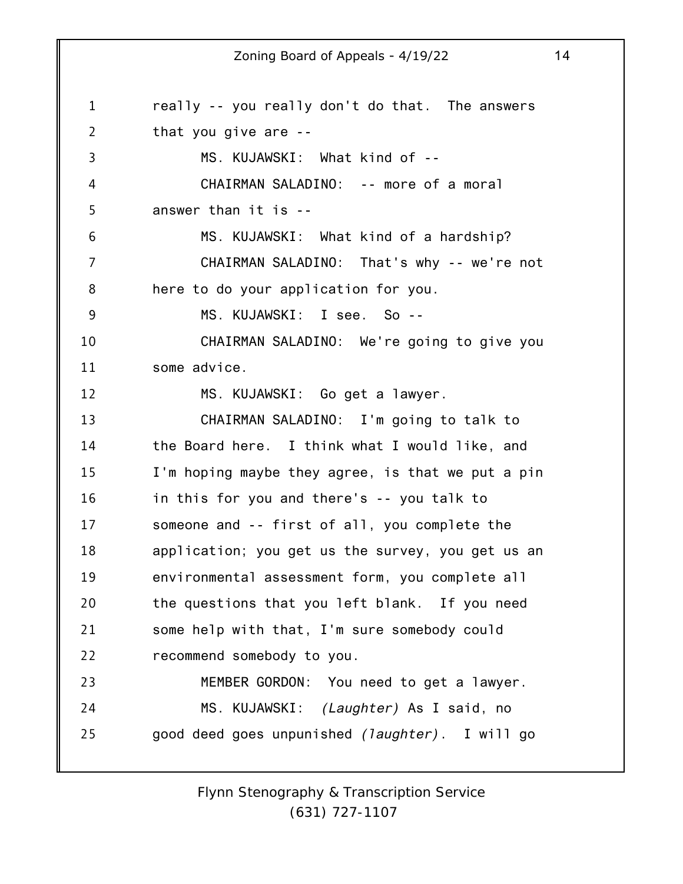1 2 3 4 5 6 7 8 9 10 11 12 13 14 15 16 17 18 19 20 21 22 23 24 25 really -- you really don't do that. The answers that you give are -- MS. KUJAWSKI: What kind of -- CHAIRMAN SALADINO: -- more of a moral answer than it is -- MS. KUJAWSKI: What kind of a hardship? CHAIRMAN SALADINO: That's why -- we're not here to do your application for you. MS. KUJAWSKI: I see. So -- CHAIRMAN SALADINO: We're going to give you some advice. MS. KUJAWSKI: Go get a lawyer. CHAIRMAN SALADINO: I'm going to talk to the Board here. I think what I would like, and I'm hoping maybe they agree, is that we put a pin in this for you and there's -- you talk to someone and -- first of all, you complete the application; you get us the survey, you get us an environmental assessment form, you complete all the questions that you left blank. If you need some help with that, I'm sure somebody could recommend somebody to you. MEMBER GORDON: You need to get a lawyer. MS. KUJAWSKI: *(Laughter)* As I said, no good deed goes unpunished *(laughter)*. I will go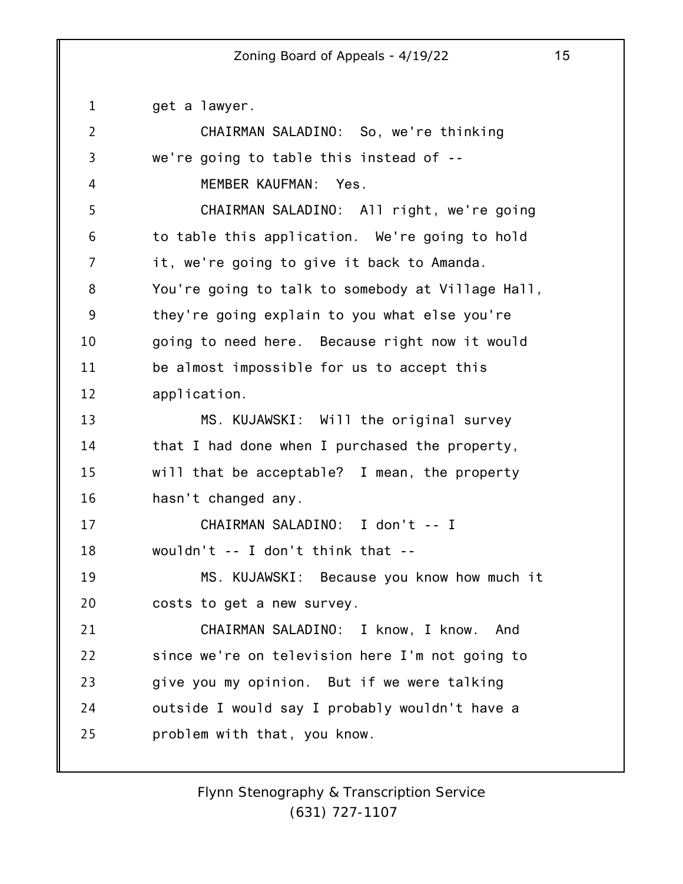1 2 3 4 5 6 7 8 9 10 11 12 13 14 15 16 17 18 19 20 21 22 23 24 25 get a lawyer. CHAIRMAN SALADINO: So, we're thinking we're going to table this instead of -- MEMBER KAUFMAN: Yes. CHAIRMAN SALADINO: All right, we're going to table this application. We're going to hold it, we're going to give it back to Amanda. You're going to talk to somebody at Village Hall, they're going explain to you what else you're going to need here. Because right now it would be almost impossible for us to accept this application. MS. KUJAWSKI: Will the original survey that I had done when I purchased the property, will that be acceptable? I mean, the property hasn't changed any. CHAIRMAN SALADINO: I don't -- I wouldn't -- I don't think that -- MS. KUJAWSKI: Because you know how much it costs to get a new survey. CHAIRMAN SALADINO: I know, I know. And since we're on television here I'm not going to give you my opinion. But if we were talking outside I would say I probably wouldn't have a problem with that, you know.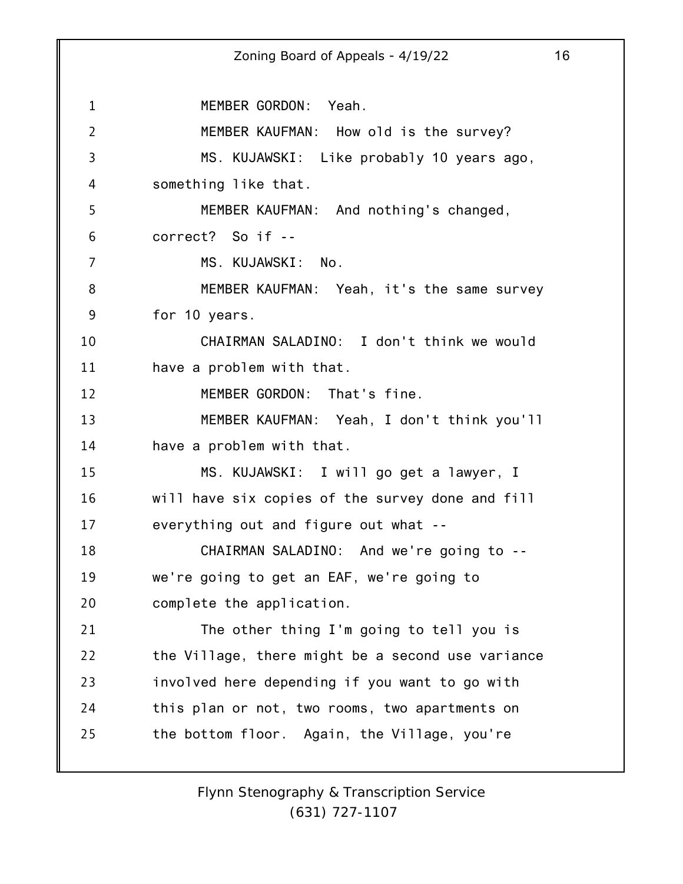1 2 3 4 5 6 7 8 9 10 11 12 13 14 15 16 17 18 19 20 21 22 23 24 25 Zoning Board of Appeals - 4/19/22 16 MEMBER GORDON: Yeah. MEMBER KAUFMAN: How old is the survey? MS. KUJAWSKI: Like probably 10 years ago, something like that. MEMBER KAUFMAN: And nothing's changed, correct? So if -- MS. KUJAWSKI: No. MEMBER KAUFMAN: Yeah, it's the same survey for 10 years. CHAIRMAN SALADINO: I don't think we would have a problem with that. MEMBER GORDON: That's fine. MEMBER KAUFMAN: Yeah, I don't think you'll have a problem with that. MS. KUJAWSKI: I will go get a lawyer, I will have six copies of the survey done and fill everything out and figure out what -- CHAIRMAN SALADINO: And we're going to - we're going to get an EAF, we're going to complete the application. The other thing I'm going to tell you is the Village, there might be a second use variance involved here depending if you want to go with this plan or not, two rooms, two apartments on the bottom floor. Again, the Village, you're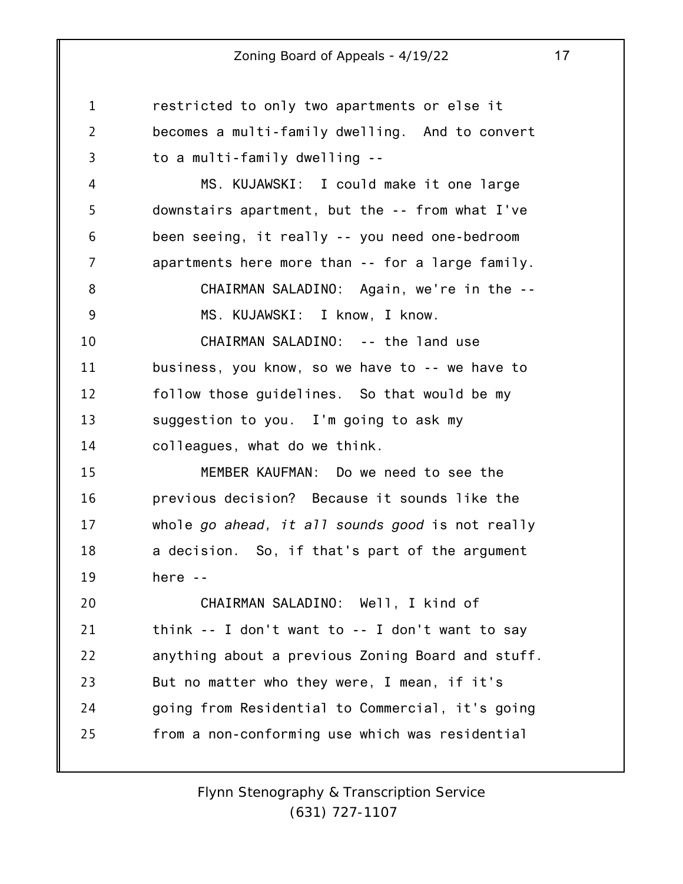1 2 3 4 5 6 7 8 9 10 11 12 13 14 15 16 17 18 19 20 21 22 23 24 25 restricted to only two apartments or else it becomes a multi-family dwelling. And to convert to a multi-family dwelling -- MS. KUJAWSKI: I could make it one large downstairs apartment, but the -- from what I've been seeing, it really -- you need one-bedroom apartments here more than -- for a large family. CHAIRMAN SALADINO: Again, we're in the -- MS. KUJAWSKI: I know, I know. CHAIRMAN SALADINO: -- the land use business, you know, so we have to -- we have to follow those guidelines. So that would be my suggestion to you. I'm going to ask my colleagues, what do we think. MEMBER KAUFMAN: Do we need to see the previous decision? Because it sounds like the whole *go ahead, it all sounds good* is not really a decision. So, if that's part of the argument here -- CHAIRMAN SALADINO: Well, I kind of think -- I don't want to -- I don't want to say anything about a previous Zoning Board and stuff. But no matter who they were, I mean, if it's going from Residential to Commercial, it's going from a non-conforming use which was residential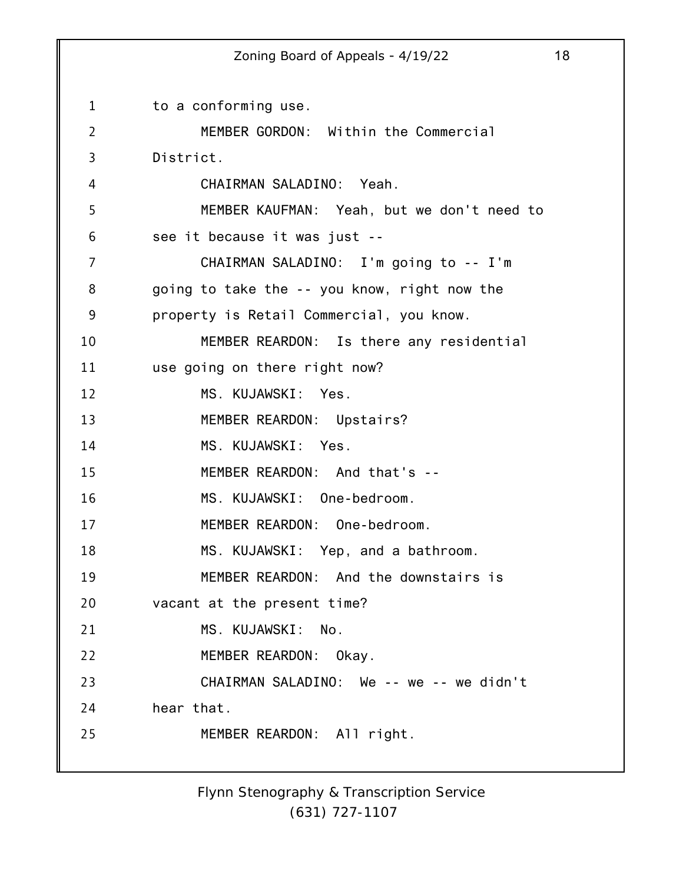1 2 3 4 5 6 7 8 9 10 11 12 13 14 15 16 17 18 19 20 21 22 23 24 25 Zoning Board of Appeals - 4/19/22 18 to a conforming use. MEMBER GORDON: Within the Commercial District. CHAIRMAN SALADINO: Yeah. MEMBER KAUFMAN: Yeah, but we don't need to see it because it was just -- CHAIRMAN SALADINO: I'm going to -- I'm going to take the -- you know, right now the property is Retail Commercial, you know. MEMBER REARDON: Is there any residential use going on there right now? MS. KUJAWSKI: Yes. MEMBER REARDON: Upstairs? MS. KUJAWSKI: Yes. MEMBER REARDON: And that's -- MS. KUJAWSKI: One-bedroom. MEMBER REARDON: One-bedroom. MS. KUJAWSKI: Yep, and a bathroom. MEMBER REARDON: And the downstairs is vacant at the present time? MS. KUJAWSKI: No. MEMBER REARDON: Okay. CHAIRMAN SALADINO: We -- we -- we didn't hear that. MEMBER REARDON: All right.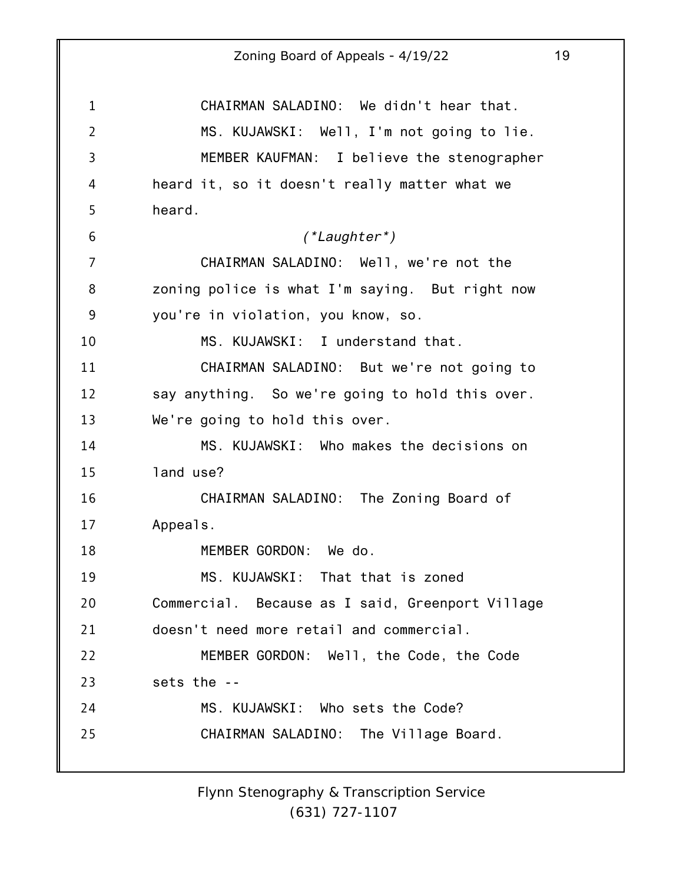1 2 3 4 5 6 7 8 9 10 11 12 13 14 15 16 17 18 19 20 21 22 23 24 25 Zoning Board of Appeals - 4/19/22 19 CHAIRMAN SALADINO: We didn't hear that. MS. KUJAWSKI: Well, I'm not going to lie. MEMBER KAUFMAN: I believe the stenographer heard it, so it doesn't really matter what we heard. *(\*Laughter\*)* CHAIRMAN SALADINO: Well, we're not the zoning police is what I'm saying. But right now you're in violation, you know, so. MS. KUJAWSKI: I understand that. CHAIRMAN SALADINO: But we're not going to say anything. So we're going to hold this over. We're going to hold this over. MS. KUJAWSKI: Who makes the decisions on land use? CHAIRMAN SALADINO: The Zoning Board of Appeals. MEMBER GORDON: We do. MS. KUJAWSKI: That that is zoned Commercial. Because as I said, Greenport Village doesn't need more retail and commercial. MEMBER GORDON: Well, the Code, the Code sets the -- MS. KUJAWSKI: Who sets the Code? CHAIRMAN SALADINO: The Village Board.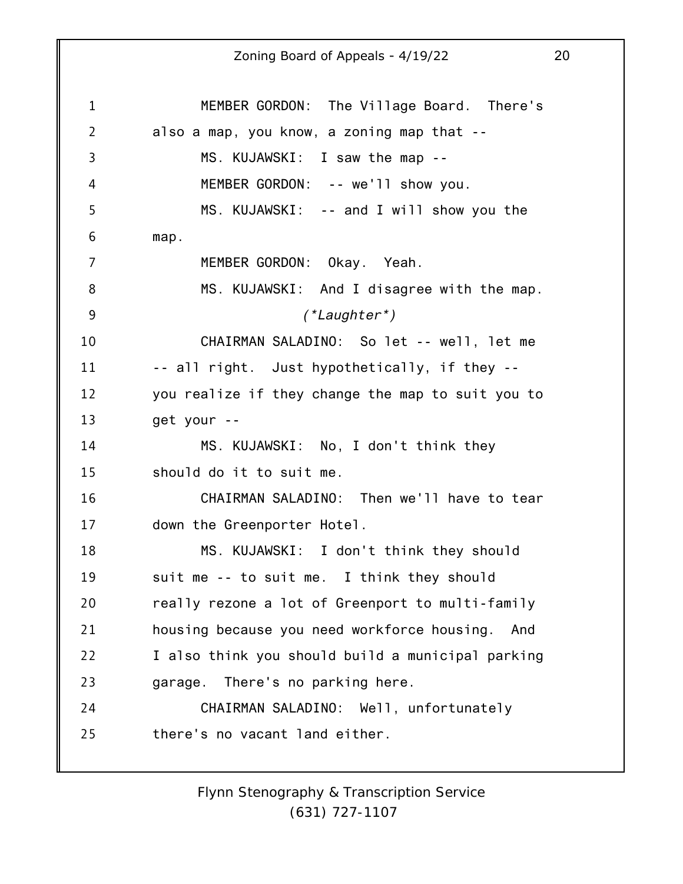1 2 3 4 5 6 7 8 9 10 11 12 13 14 15 16 17 18 19 20 21 22 23 24 25 Zoning Board of Appeals - 4/19/22 20 MEMBER GORDON: The Village Board. There's also a map, you know, a zoning map that -- MS. KUJAWSKI: I saw the map -- MEMBER GORDON: -- we'll show you. MS. KUJAWSKI: -- and I will show you the map. MEMBER GORDON: Okay. Yeah. MS. KUJAWSKI: And I disagree with the map. *(\*Laughter\*)* CHAIRMAN SALADINO: So let -- well, let me -- all right. Just hypothetically, if they - you realize if they change the map to suit you to get your -- MS. KUJAWSKI: No, I don't think they should do it to suit me. CHAIRMAN SALADINO: Then we'll have to tear down the Greenporter Hotel. MS. KUJAWSKI: I don't think they should suit me -- to suit me. I think they should really rezone a lot of Greenport to multi-family housing because you need workforce housing. And I also think you should build a municipal parking garage. There's no parking here. CHAIRMAN SALADINO: Well, unfortunately there's no vacant land either.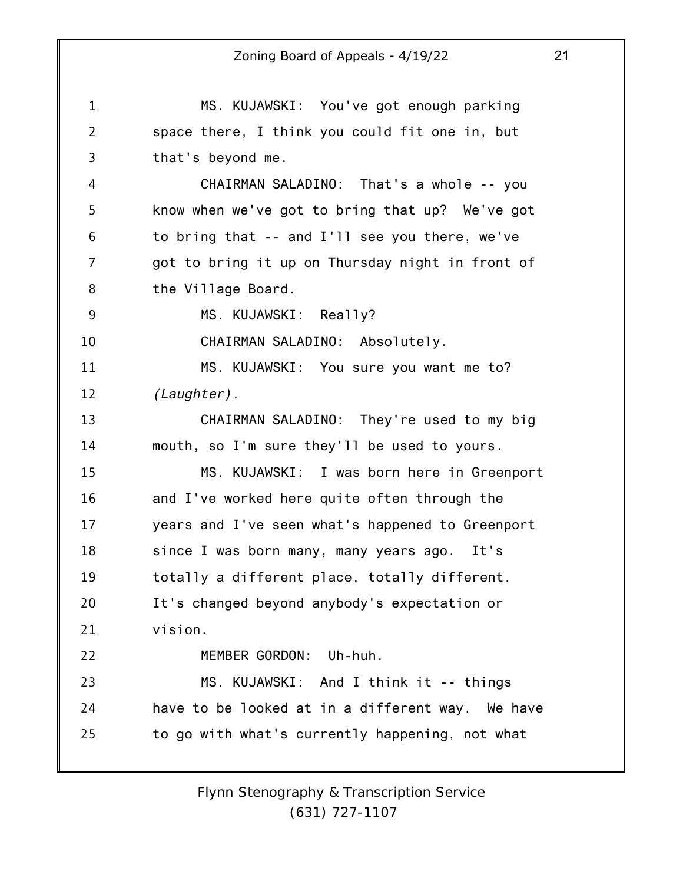1 2 3 4 5 6 7 8 9 10 11 12 13 14 15 16 17 18 19 20 21 22 23 24 25 Zoning Board of Appeals - 4/19/22 21 MS. KUJAWSKI: You've got enough parking space there, I think you could fit one in, but that's beyond me. CHAIRMAN SALADINO: That's a whole -- you know when we've got to bring that up? We've got to bring that -- and I'll see you there, we've got to bring it up on Thursday night in front of the Village Board. MS. KUJAWSKI: Really? CHAIRMAN SALADINO: Absolutely. MS. KUJAWSKI: You sure you want me to? *(Laughter).* CHAIRMAN SALADINO: They're used to my big mouth, so I'm sure they'll be used to yours. MS. KUJAWSKI: I was born here in Greenport and I've worked here quite often through the years and I've seen what's happened to Greenport since I was born many, many years ago. It's totally a different place, totally different. It's changed beyond anybody's expectation or vision. MEMBER GORDON: Uh-huh. MS. KUJAWSKI: And I think it -- things have to be looked at in a different way. We have to go with what's currently happening, not what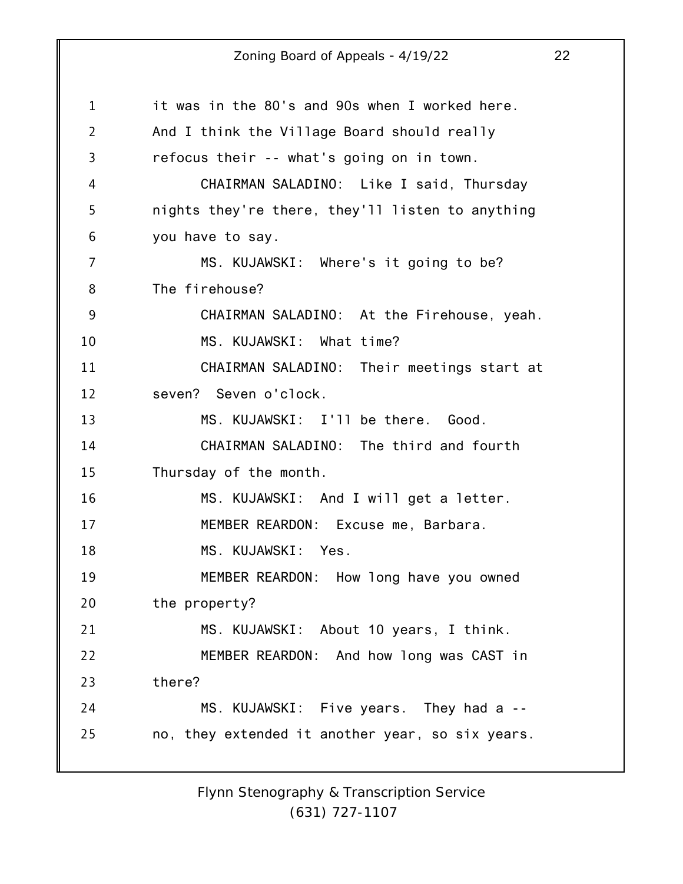1 2 3 4 5 6 7 8 9 10 11 12 13 14 15 16 17 18 19 20 21 22 23 24 25 it was in the 80's and 90s when I worked here. And I think the Village Board should really refocus their -- what's going on in town. CHAIRMAN SALADINO: Like I said, Thursday nights they're there, they'll listen to anything you have to say. MS. KUJAWSKI: Where's it going to be? The firehouse? CHAIRMAN SALADINO: At the Firehouse, yeah. MS. KUJAWSKI: What time? CHAIRMAN SALADINO: Their meetings start at seven? Seven o'clock. MS. KUJAWSKI: I'll be there. Good. CHAIRMAN SALADINO: The third and fourth Thursday of the month. MS. KUJAWSKI: And I will get a letter. MEMBER REARDON: Excuse me, Barbara. MS. KUJAWSKI: Yes. MEMBER REARDON: How long have you owned the property? MS. KUJAWSKI: About 10 years, I think. MEMBER REARDON: And how long was CAST in there? MS. KUJAWSKI: Five years. They had a - no, they extended it another year, so six years.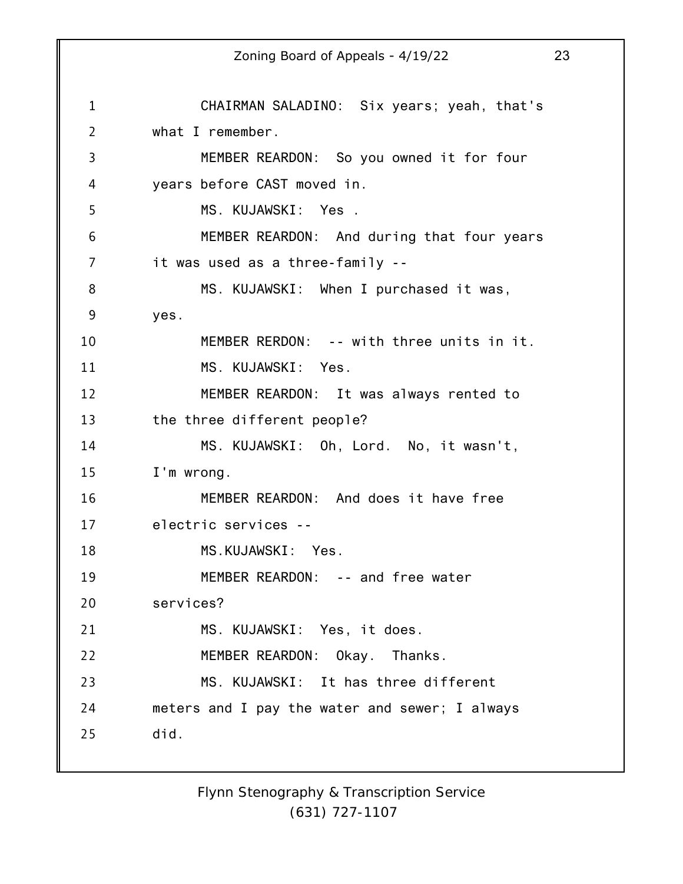1 2 3 4 5 6 7 8 9 10 11 12 13 14 15 16 17 18 19 20 21 22 23 24 25 Zoning Board of Appeals - 4/19/22 23 CHAIRMAN SALADINO: Six years; yeah, that's what I remember. MEMBER REARDON: So you owned it for four years before CAST moved in. MS. KUJAWSKI: Yes . MEMBER REARDON: And during that four years it was used as a three-family -- MS. KUJAWSKI: When I purchased it was, yes. MEMBER RERDON: -- with three units in it. MS. KUJAWSKI: Yes. MEMBER REARDON: It was always rented to the three different people? MS. KUJAWSKI: Oh, Lord. No, it wasn't, I'm wrong. MEMBER REARDON: And does it have free electric services -- MS.KUJAWSKI: Yes. MEMBER REARDON: -- and free water services? MS. KUJAWSKI: Yes, it does. MEMBER REARDON: Okay. Thanks. MS. KUJAWSKI: It has three different meters and I pay the water and sewer; I always did.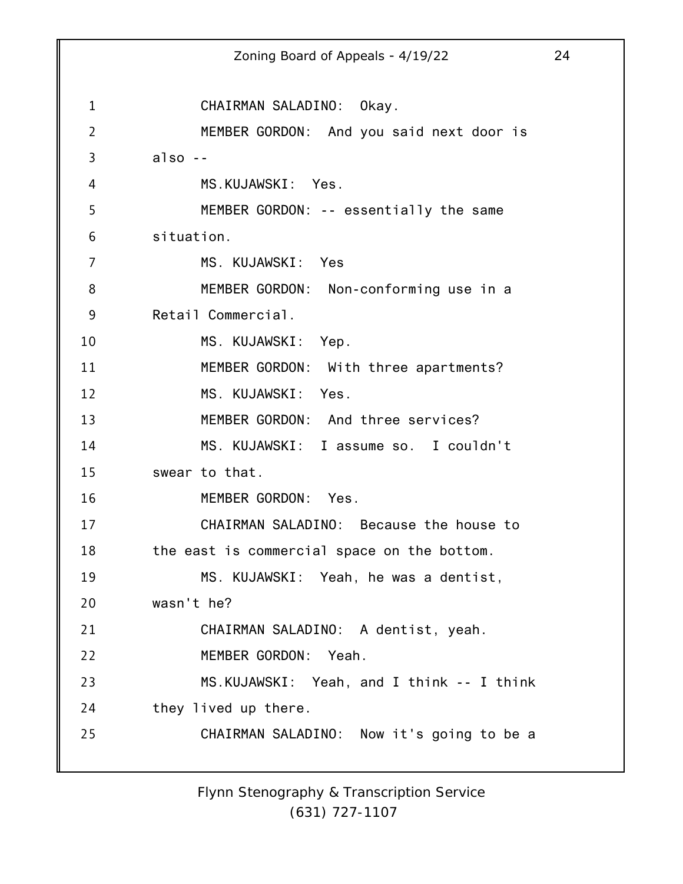1 2 3 4 5 6 7 8 9 10 11 12 13 14 15 16 17 18 19 20 21 22 23 24 25 Zoning Board of Appeals - 4/19/22 24 CHAIRMAN SALADINO: Okay. MEMBER GORDON: And you said next door is also -- MS.KUJAWSKI: Yes. MEMBER GORDON: -- essentially the same situation. MS. KUJAWSKI: Yes MEMBER GORDON: Non-conforming use in a Retail Commercial. MS. KUJAWSKI: Yep. MEMBER GORDON: With three apartments? MS. KUJAWSKI: Yes. MEMBER GORDON: And three services? MS. KUJAWSKI: I assume so. I couldn't swear to that. MEMBER GORDON: Yes. CHAIRMAN SALADINO: Because the house to the east is commercial space on the bottom. MS. KUJAWSKI: Yeah, he was a dentist, wasn't he? CHAIRMAN SALADINO: A dentist, yeah. MEMBER GORDON: Yeah. MS.KUJAWSKI: Yeah, and I think -- I think they lived up there. CHAIRMAN SALADINO: Now it's going to be a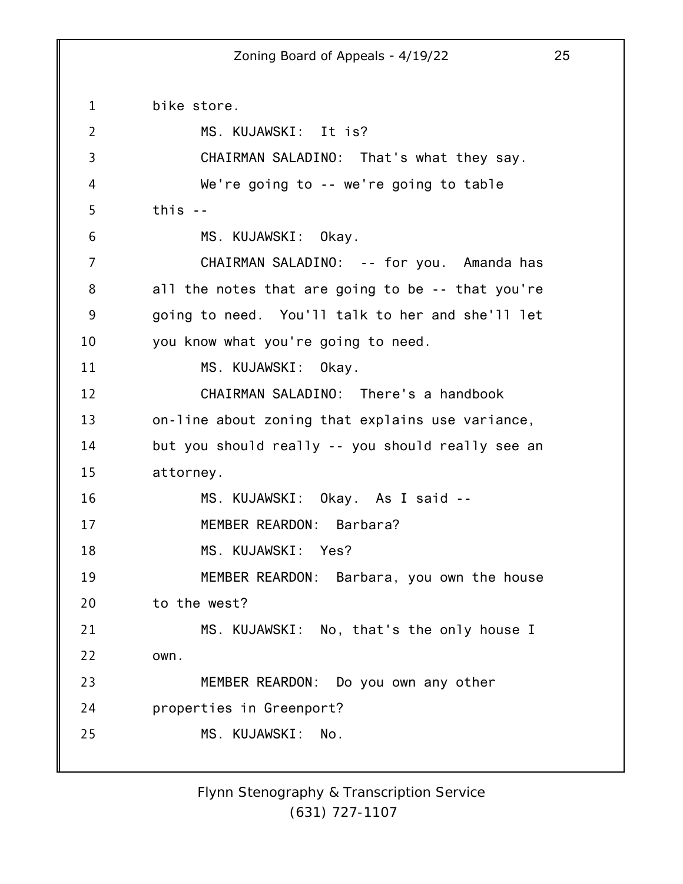1 2 3 4 5 6 7 8 9 10 11 12 13 14 15 16 17 18 19 20 21 22 23 24 25 bike store. MS. KUJAWSKI: It is? CHAIRMAN SALADINO: That's what they say. We're going to -- we're going to table this -- MS. KUJAWSKI: Okay. CHAIRMAN SALADINO: -- for you. Amanda has all the notes that are going to be -- that you're going to need. You'll talk to her and she'll let you know what you're going to need. MS. KUJAWSKI: Okay. CHAIRMAN SALADINO: There's a handbook on-line about zoning that explains use variance, but you should really -- you should really see an attorney. MS. KUJAWSKI: Okay. As I said -- MEMBER REARDON: Barbara? MS. KUJAWSKI: Yes? MEMBER REARDON: Barbara, you own the house to the west? MS. KUJAWSKI: No, that's the only house I own. MEMBER REARDON: Do you own any other properties in Greenport? MS. KUJAWSKI: No.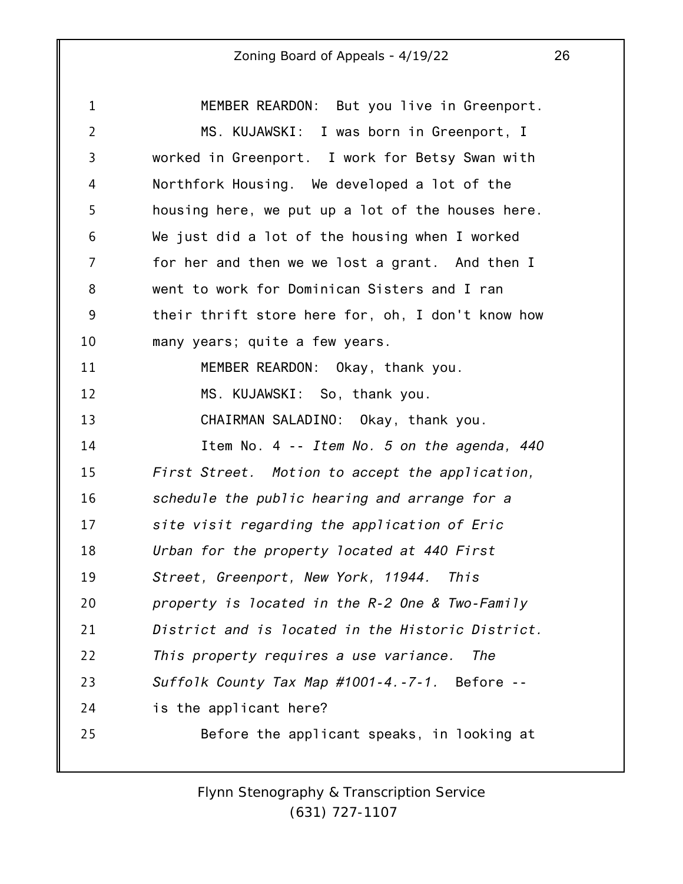1 2 3 4 5 6 7 8 9 10 11 12 13 14 15 16 17 18 19 20 21 22 23 24 25 MEMBER REARDON: But you live in Greenport. MS. KUJAWSKI: I was born in Greenport, I worked in Greenport. I work for Betsy Swan with Northfork Housing. We developed a lot of the housing here, we put up a lot of the houses here. We just did a lot of the housing when I worked for her and then we we lost a grant. And then I went to work for Dominican Sisters and I ran their thrift store here for, oh, I don't know how many years; quite a few years. MEMBER REARDON: Okay, thank you. MS. KUJAWSKI: So, thank you. CHAIRMAN SALADINO: Okay, thank you. Item No. 4 -- *Item No. 5 on the agenda, 440 First Street. Motion to accept the application, schedule the public hearing and arrange for a site visit regarding the application of Eric Urban for the property located at 440 First Street, Greenport, New York, 11944. This property is located in the R-2 One & Two-Family District and is located in the Historic District. This property requires a use variance. The Suffolk County Tax Map #1001-4.-7-1.* Before - is the applicant here? Before the applicant speaks, in looking at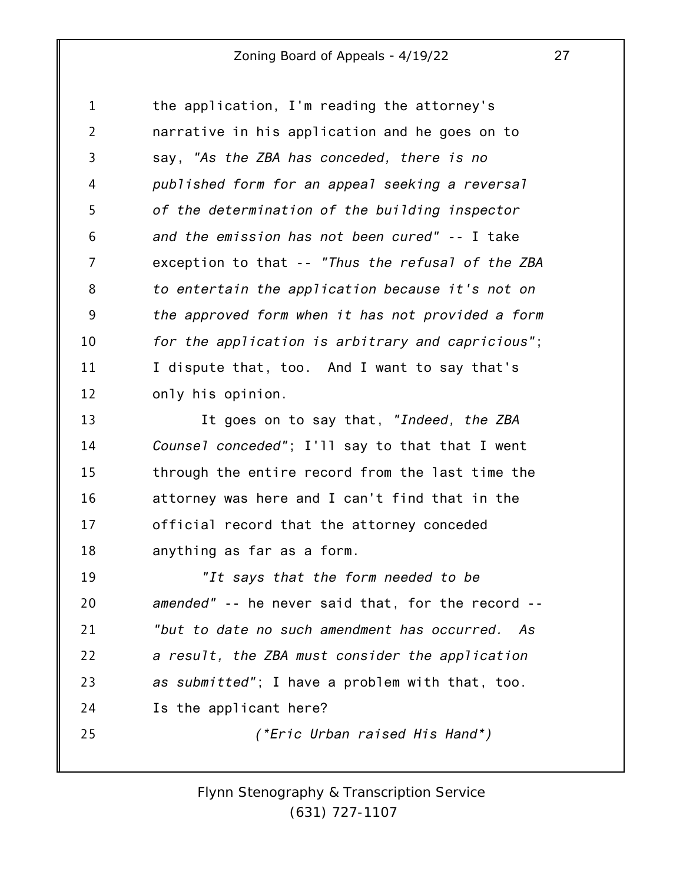1 2 3 4 5 6 7 8 9 10 11 12 the application, I'm reading the attorney's narrative in his application and he goes on to say, *"As the ZBA has conceded, there is no published form for an appeal seeking a reversal of the determination of the building inspector and the emission has not been cured" --* I take exception to that -- *"Thus the refusal of the ZBA to entertain the application because it's not on the approved form when it has not provided a form for the application is arbitrary and capricious"*; I dispute that, too. And I want to say that's only his opinion.

13 14 15 16 17 18 It goes on to say that, *"Indeed, the ZBA Counsel conceded"*; I'll say to that that I went through the entire record from the last time the attorney was here and I can't find that in the official record that the attorney conceded anything as far as a form.

19 20 21 22 23 24 25 *"It says that the form needed to be amended"* -- he never said that, for the record -- *"but to date no such amendment has occurred. As a result, the ZBA must consider the application as submitted"*; I have a problem with that, too. Is the applicant here? *(\*Eric Urban raised His Hand\*)*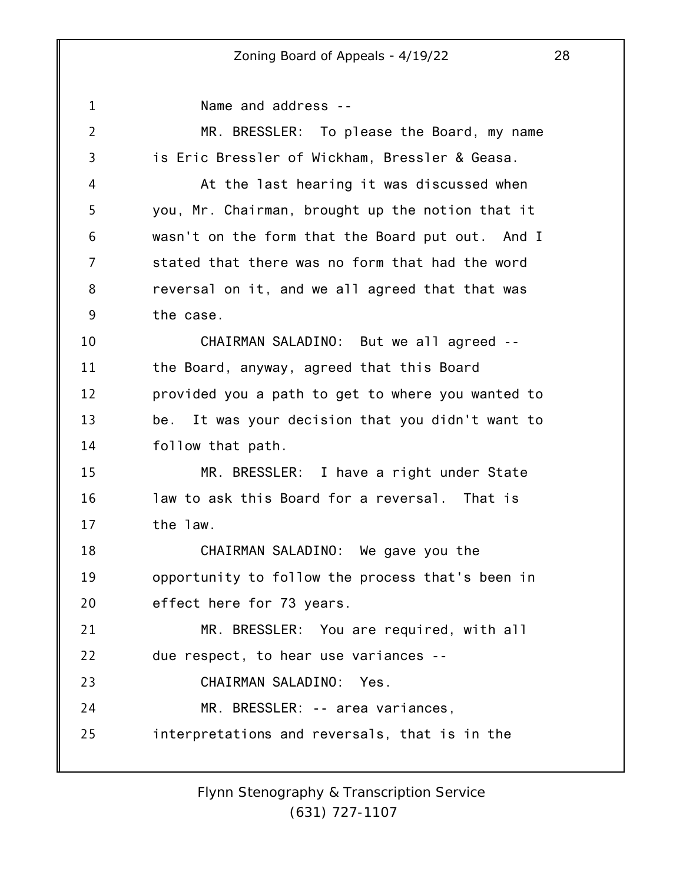1 2 3 4 5 6 7 8 9 10 11 12 13 14 15 16 17 18 19 20 21 22 23 24 25 Name and address -- MR. BRESSLER: To please the Board, my name is Eric Bressler of Wickham, Bressler & Geasa. At the last hearing it was discussed when you, Mr. Chairman, brought up the notion that it wasn't on the form that the Board put out. And I stated that there was no form that had the word reversal on it, and we all agreed that that was the case. CHAIRMAN SALADINO: But we all agreed - the Board, anyway, agreed that this Board provided you a path to get to where you wanted to be. It was your decision that you didn't want to follow that path. MR. BRESSLER: I have a right under State law to ask this Board for a reversal. That is the law. CHAIRMAN SALADINO: We gave you the opportunity to follow the process that's been in effect here for 73 years. MR. BRESSLER: You are required, with all due respect, to hear use variances -- CHAIRMAN SALADINO: Yes. MR. BRESSLER: -- area variances, interpretations and reversals, that is in the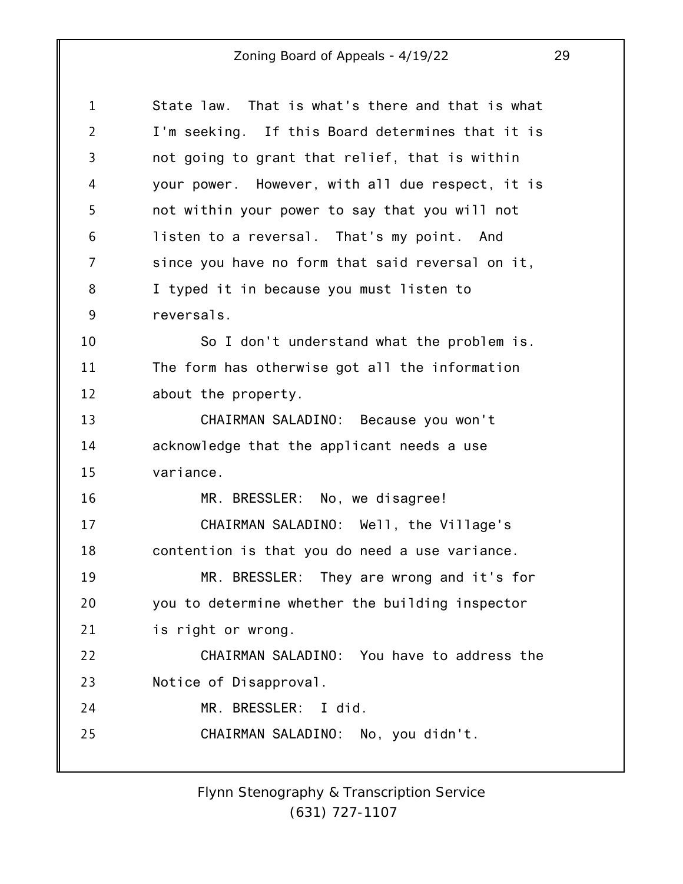| $\mathbf 1$    | State law. That is what's there and that is what |
|----------------|--------------------------------------------------|
| $\overline{2}$ | I'm seeking. If this Board determines that it is |
| 3              | not going to grant that relief, that is within   |
| 4              | your power. However, with all due respect, it is |
| 5              | not within your power to say that you will not   |
| 6              | listen to a reversal. That's my point. And       |
| 7              | since you have no form that said reversal on it, |
| 8              | I typed it in because you must listen to         |
| 9              | reversals.                                       |
| 10             | So I don't understand what the problem is.       |
| 11             | The form has otherwise got all the information   |
| 12             | about the property.                              |
| 13             | CHAIRMAN SALADINO: Because you won't             |
| 14             | acknowledge that the applicant needs a use       |
| 15             | variance.                                        |
| 16             | MR. BRESSLER: No, we disagree!                   |
| 17             | CHAIRMAN SALADINO: Well, the Village's           |
| 18             | contention is that you do need a use variance.   |
| 19             | MR. BRESSLER: They are wrong and it's for        |
| 20             | you to determine whether the building inspector  |
| 21             | is right or wrong.                               |
| 22             | CHAIRMAN SALADINO: You have to address the       |
| 23             | Notice of Disapproval.                           |
| 24             | MR. BRESSLER: I did.                             |
| 25             | CHAIRMAN SALADINO: No, you didn't.               |
|                |                                                  |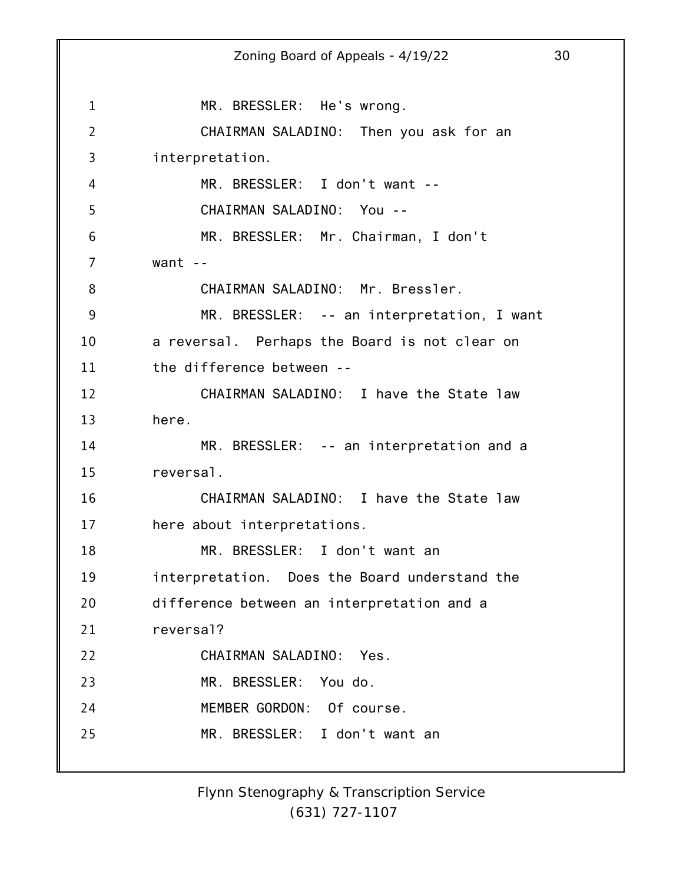1 2 3 4 5 6 7 8 9 10 11 12 13 14 15 16 17 18 19 20 21 22 23 24 25 Zoning Board of Appeals - 4/19/22 30 MR. BRESSLER: He's wrong. CHAIRMAN SALADINO: Then you ask for an interpretation. MR. BRESSLER: I don't want -- CHAIRMAN SALADINO: You -- MR. BRESSLER: Mr. Chairman, I don't want  $-$ CHAIRMAN SALADINO: Mr. Bressler. MR. BRESSLER: -- an interpretation, I want a reversal. Perhaps the Board is not clear on the difference between -- CHAIRMAN SALADINO: I have the State law here. MR. BRESSLER: -- an interpretation and a reversal. CHAIRMAN SALADINO: I have the State law here about interpretations. MR. BRESSLER: I don't want an interpretation. Does the Board understand the difference between an interpretation and a reversal? CHAIRMAN SALADINO: Yes. MR. BRESSLER: You do. MEMBER GORDON: Of course. MR. BRESSLER: I don't want an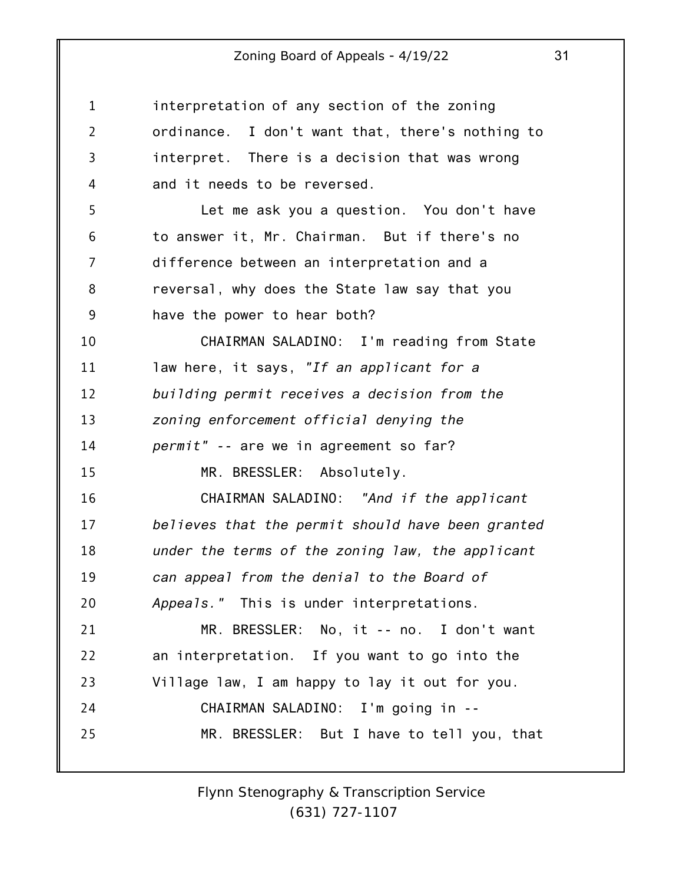| $\mathbf{1}$   | interpretation of any section of the zoning       |
|----------------|---------------------------------------------------|
| $\overline{2}$ | ordinance. I don't want that, there's nothing to  |
| 3              | interpret. There is a decision that was wrong     |
| 4              | and it needs to be reversed.                      |
| 5              | Let me ask you a question. You don't have         |
| 6              | to answer it, Mr. Chairman. But if there's no     |
| 7              | difference between an interpretation and a        |
| 8              | reversal, why does the State law say that you     |
| 9              | have the power to hear both?                      |
| 10             | CHAIRMAN SALADINO: I'm reading from State         |
| 11             | law here, it says, "If an applicant for a         |
| 12             | building permit receives a decision from the      |
| 13             | zoning enforcement official denying the           |
| 14             | permit" -- are we in agreement so far?            |
| 15             | MR. BRESSLER: Absolutely.                         |
| 16             | CHAIRMAN SALADINO: "And if the applicant          |
| 17             | believes that the permit should have been granted |
| 18             | under the terms of the zoning law, the applicant  |
| 19             | can appeal from the denial to the Board of        |
| 20             | Appeals." This is under interpretations.          |
| 21             | MR. BRESSLER: No, it -- no. I don't want          |
| 22             | an interpretation. If you want to go into the     |
| 23             | Village law, I am happy to lay it out for you.    |
| 24             | CHAIRMAN SALADINO: I'm going in --                |
| 25             | MR. BRESSLER: But I have to tell you, that        |
|                |                                                   |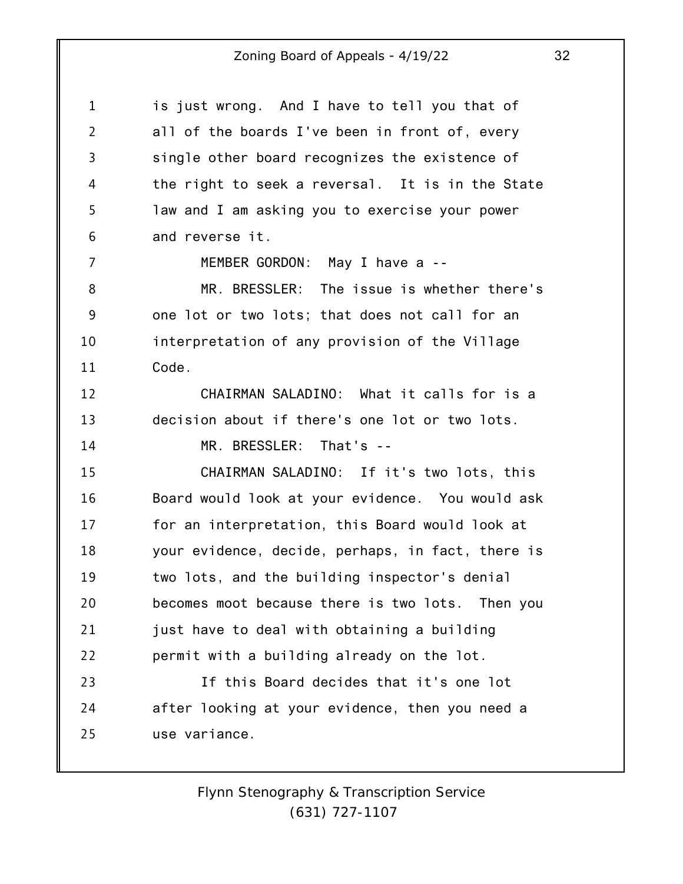| $\mathbf{1}$   | is just wrong. And I have to tell you that of     |
|----------------|---------------------------------------------------|
| $\overline{2}$ | all of the boards I've been in front of, every    |
| $\overline{3}$ | single other board recognizes the existence of    |
| 4              | the right to seek a reversal. It is in the State  |
| 5              | law and I am asking you to exercise your power    |
| 6              | and reverse it.                                   |
| 7              | MEMBER GORDON: May I have a --                    |
| 8              | MR. BRESSLER: The issue is whether there's        |
| 9              | one lot or two lots; that does not call for an    |
| 10             | interpretation of any provision of the Village    |
| 11             | Code.                                             |
| 12             | CHAIRMAN SALADINO: What it calls for is a         |
| 13             | decision about if there's one lot or two lots.    |
| 14             | MR. BRESSLER: That's --                           |
| 15             | CHAIRMAN SALADINO: If it's two lots, this         |
| 16             | Board would look at your evidence. You would ask  |
| 17             | for an interpretation, this Board would look at   |
| 18             | your evidence, decide, perhaps, in fact, there is |
| 19             | two lots, and the building inspector's denial     |
| 20             | becomes moot because there is two lots. Then you  |
| 21             | just have to deal with obtaining a building       |
| 22             | permit with a building already on the lot.        |
| 23             | If this Board decides that it's one lot           |
| 24             | after looking at your evidence, then you need a   |
| 25             | use variance.                                     |
|                |                                                   |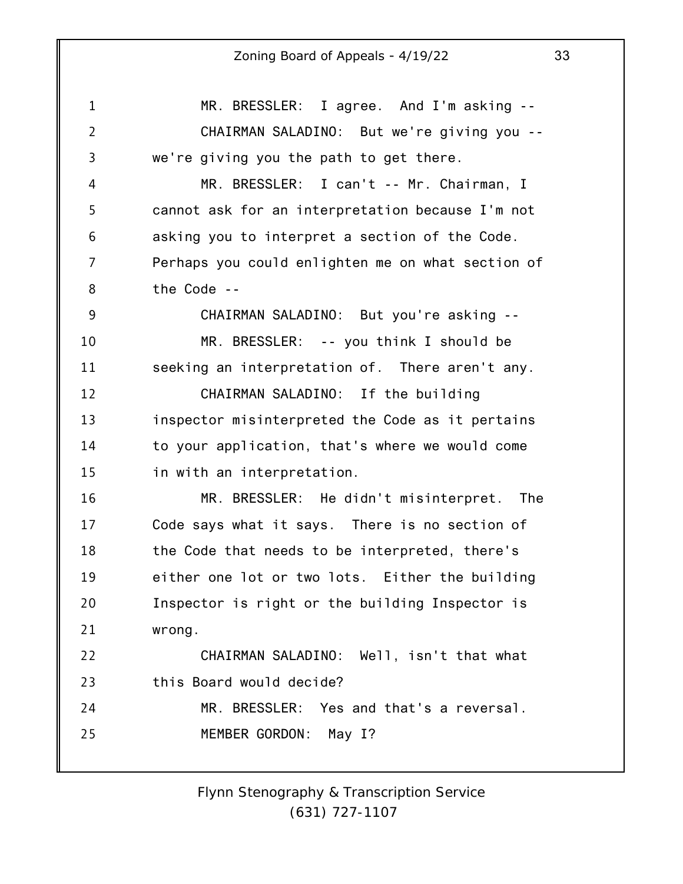1 2 3 4 5 6 7 8 9 10 11 12 13 14 15 16 17 18 19 20 21 22 23 24 25 MR. BRESSLER: I agree. And I'm asking -- CHAIRMAN SALADINO: But we're giving you - we're giving you the path to get there. MR. BRESSLER: I can't -- Mr. Chairman, I cannot ask for an interpretation because I'm not asking you to interpret a section of the Code. Perhaps you could enlighten me on what section of the Code -- CHAIRMAN SALADINO: But you're asking -- MR. BRESSLER: -- you think I should be seeking an interpretation of. There aren't any. CHAIRMAN SALADINO: If the building inspector misinterpreted the Code as it pertains to your application, that's where we would come in with an interpretation. MR. BRESSLER: He didn't misinterpret. The Code says what it says. There is no section of the Code that needs to be interpreted, there's either one lot or two lots. Either the building Inspector is right or the building Inspector is wrong. CHAIRMAN SALADINO: Well, isn't that what this Board would decide? MR. BRESSLER: Yes and that's a reversal. MEMBER GORDON: May I?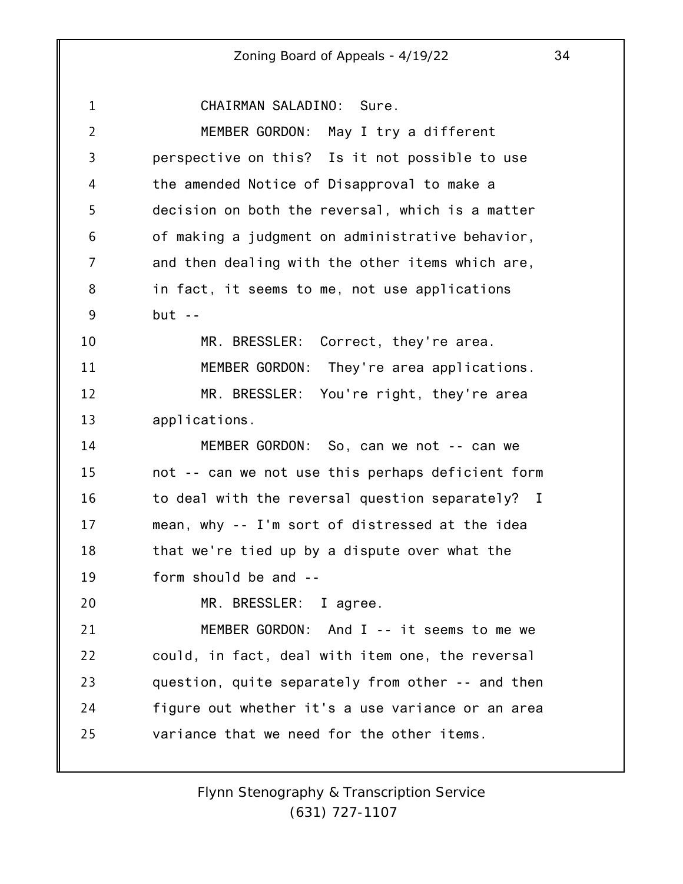1 2 3 4 5 6 7 8 9 10 11 12 13 14 15 16 17 18 19 20 21 22 23 24 25 CHAIRMAN SALADINO: Sure. MEMBER GORDON: May I try a different perspective on this? Is it not possible to use the amended Notice of Disapproval to make a decision on both the reversal, which is a matter of making a judgment on administrative behavior, and then dealing with the other items which are, in fact, it seems to me, not use applications  $but --$ MR. BRESSLER: Correct, they're area. MEMBER GORDON: They're area applications. MR. BRESSLER: You're right, they're area applications. MEMBER GORDON: So, can we not -- can we not -- can we not use this perhaps deficient form to deal with the reversal question separately? I mean, why -- I'm sort of distressed at the idea that we're tied up by a dispute over what the form should be and -- MR. BRESSLER: I agree. MEMBER GORDON: And I -- it seems to me we could, in fact, deal with item one, the reversal question, quite separately from other -- and then figure out whether it's a use variance or an area variance that we need for the other items.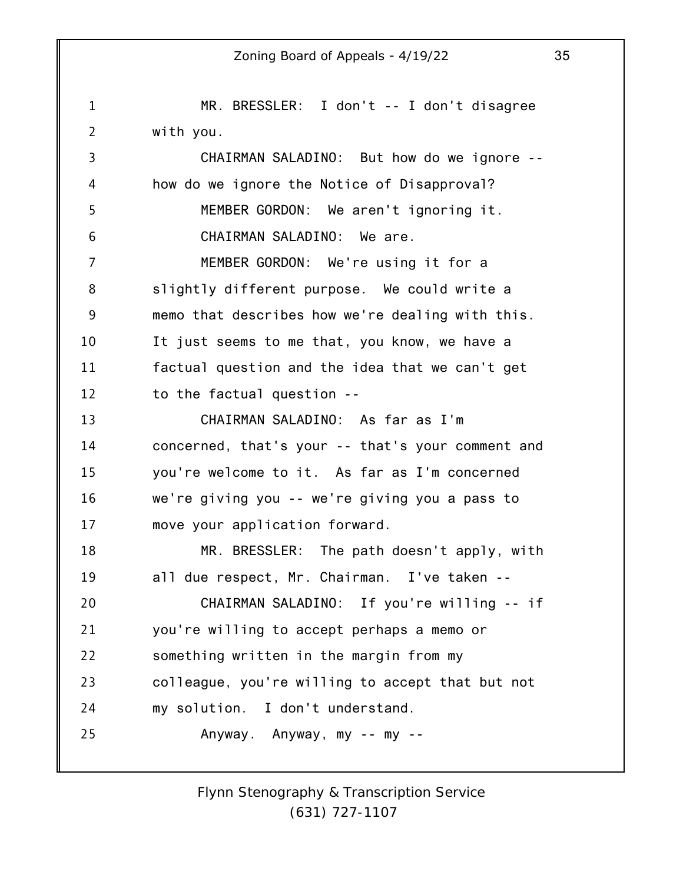1 2 3 4 5 6 7 8 9 10 11 12 13 14 15 16 17 18 19 20 21 22 23 24 25 Zoning Board of Appeals - 4/19/22 35 MR. BRESSLER: I don't -- I don't disagree with you. CHAIRMAN SALADINO: But how do we ignore - how do we ignore the Notice of Disapproval? MEMBER GORDON: We aren't ignoring it. CHAIRMAN SALADINO: We are. MEMBER GORDON: We're using it for a slightly different purpose. We could write a memo that describes how we're dealing with this. It just seems to me that, you know, we have a factual question and the idea that we can't get to the factual question -- CHAIRMAN SALADINO: As far as I'm concerned, that's your -- that's your comment and you're welcome to it. As far as I'm concerned we're giving you -- we're giving you a pass to move your application forward. MR. BRESSLER: The path doesn't apply, with all due respect, Mr. Chairman. I've taken -- CHAIRMAN SALADINO: If you're willing -- if you're willing to accept perhaps a memo or something written in the margin from my colleague, you're willing to accept that but not my solution. I don't understand. Anyway. Anyway, my -- my --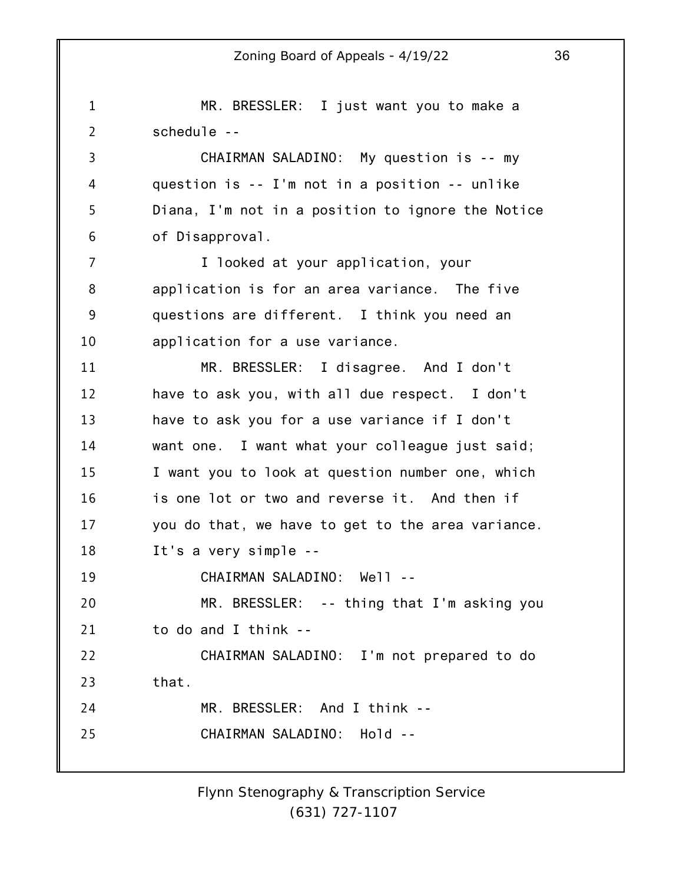1 2 3 4 5 6 7 8 9 10 11 12 13 14 15 16 17 18 19 20 21 22 23 24 25 MR. BRESSLER: I just want you to make a schedule -- CHAIRMAN SALADINO: My question is -- my question is -- I'm not in a position -- unlike Diana, I'm not in a position to ignore the Notice of Disapproval. I looked at your application, your application is for an area variance. The five questions are different. I think you need an application for a use variance. MR. BRESSLER: I disagree. And I don't have to ask you, with all due respect. I don't have to ask you for a use variance if I don't want one. I want what your colleague just said; I want you to look at question number one, which is one lot or two and reverse it. And then if you do that, we have to get to the area variance. It's a very simple -- CHAIRMAN SALADINO: Well -- MR. BRESSLER: -- thing that I'm asking you to do and I think -- CHAIRMAN SALADINO: I'm not prepared to do that. MR. BRESSLER: And I think -- CHAIRMAN SALADINO: Hold --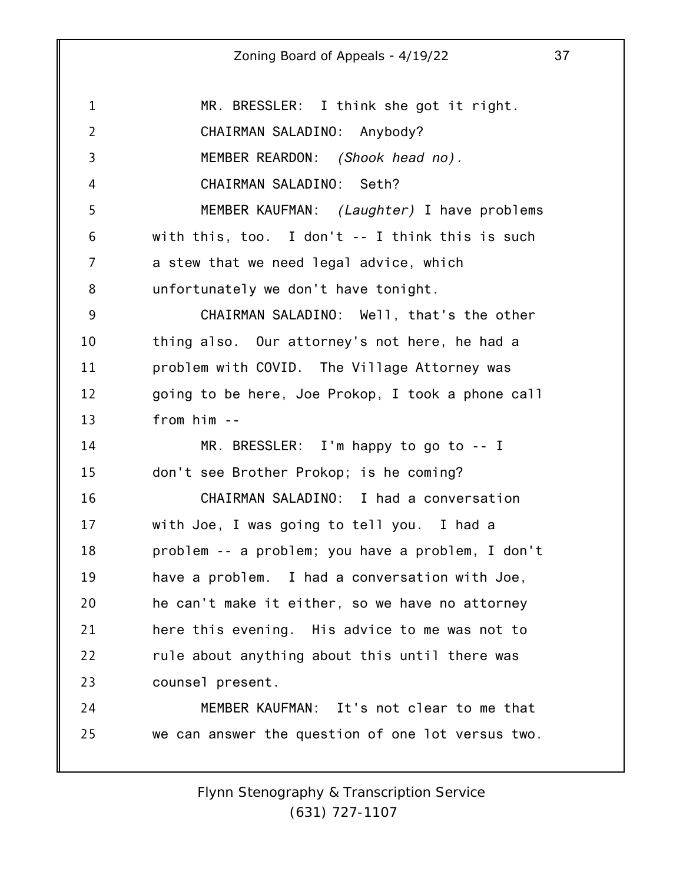| $\mathbf 1$    | MR. BRESSLER: I think she got it right.           |
|----------------|---------------------------------------------------|
| $\overline{2}$ | CHAIRMAN SALADINO: Anybody?                       |
| 3              | MEMBER REARDON: (Shook head no).                  |
| 4              | CHAIRMAN SALADINO: Seth?                          |
| 5              | MEMBER KAUFMAN: <i>(Laughter)</i> I have problems |
| 6              | with this, too. I don't $-$ I think this is such  |
| 7              | a stew that we need legal advice, which           |
| 8              | unfortunately we don't have tonight.              |
| 9              | CHAIRMAN SALADINO: Well, that's the other         |
| 10             | thing also. Our attorney's not here, he had a     |
| 11             | problem with COVID. The Village Attorney was      |
| 12             | going to be here, Joe Prokop, I took a phone call |
| 13             | $from him - -$                                    |
| 14             | MR. BRESSLER: I'm happy to go to -- I             |
| 15             | don't see Brother Prokop; is he coming?           |
| 16             | CHAIRMAN SALADINO: I had a conversation           |
| 17             | with Joe, I was going to tell you. I had a        |
| 18             | problem -- a problem; you have a problem, I don't |
| 19             | have a problem. I had a conversation with Joe,    |
| 20             | he can't make it either, so we have no attorney   |
| 21             | here this evening. His advice to me was not to    |
| 22             | rule about anything about this until there was    |
| 23             | counsel present.                                  |
| 24             | MEMBER KAUFMAN: It's not clear to me that         |
| 25             | we can answer the question of one lot versus two. |
|                |                                                   |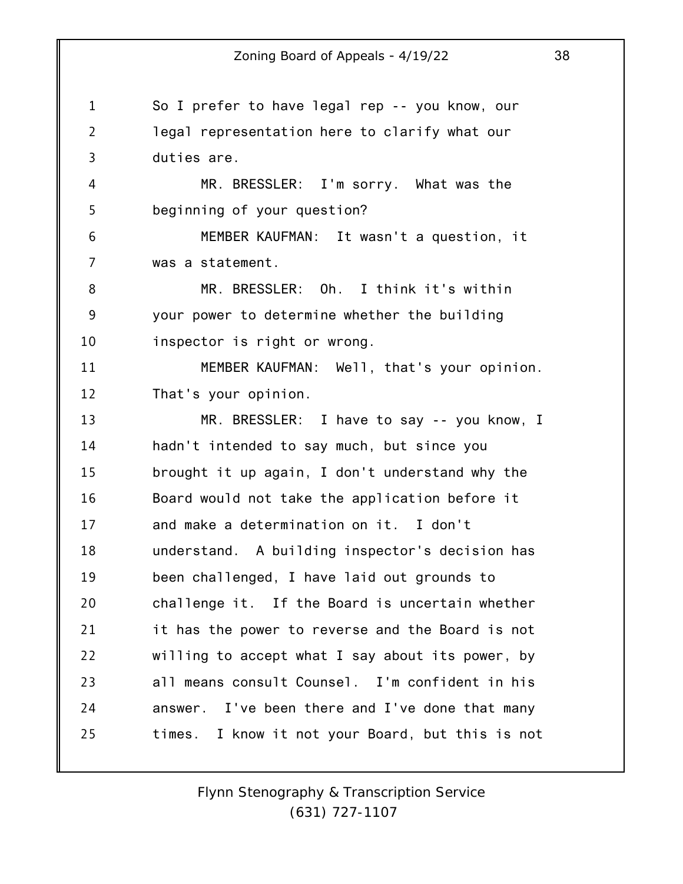1 2 3 So I prefer to have legal rep -- you know, our legal representation here to clarify what our duties are.

MR. BRESSLER: I'm sorry. What was the beginning of your question?

4

5

6 7 MEMBER KAUFMAN: It wasn't a question, it was a statement.

8 9 10 MR. BRESSLER: Oh. I think it's within your power to determine whether the building inspector is right or wrong.

11 12 MEMBER KAUFMAN: Well, that's your opinion. That's your opinion.

13 14 15 16 17 18 19 20 21 22 23 24 25 MR. BRESSLER: I have to say -- you know, I hadn't intended to say much, but since you brought it up again, I don't understand why the Board would not take the application before it and make a determination on it. I don't understand. A building inspector's decision has been challenged, I have laid out grounds to challenge it. If the Board is uncertain whether it has the power to reverse and the Board is not willing to accept what I say about its power, by all means consult Counsel. I'm confident in his answer. I've been there and I've done that many times. I know it not your Board, but this is not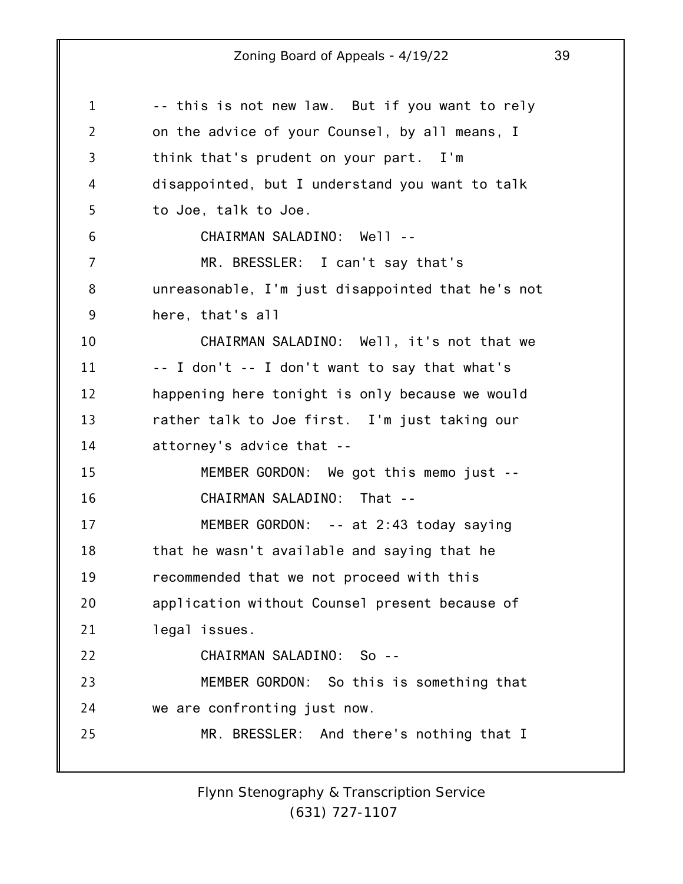| $\mathbf 1$    | -- this is not new law. But if you want to rely   |
|----------------|---------------------------------------------------|
| $\overline{2}$ | on the advice of your Counsel, by all means, I    |
| 3              | think that's prudent on your part. I'm            |
| 4              | disappointed, but I understand you want to talk   |
| 5              | to Joe, talk to Joe.                              |
| 6              | CHAIRMAN SALADINO: Well --                        |
| 7              | MR. BRESSLER: I can't say that's                  |
| 8              | unreasonable, I'm just disappointed that he's not |
| 9              | here, that's all                                  |
| 10             | CHAIRMAN SALADINO: Well, it's not that we         |
| 11             | -- I don't -- I don't want to say that what's     |
| 12             | happening here tonight is only because we would   |
| 13             | rather talk to Joe first. I'm just taking our     |
| 14             | attorney's advice that --                         |
| 15             | MEMBER GORDON: We got this memo just --           |
| 16             | CHAIRMAN SALADINO: That --                        |
| 17             | MEMBER GORDON: -- at 2:43 today saying            |
| 18             | that he wasn't available and saying that he       |
| 19             | recommended that we not proceed with this         |
| 20             | application without Counsel present because of    |
| 21             | legal issues.                                     |
| 22             | CHAIRMAN SALADINO: So --                          |
| 23             | MEMBER GORDON: So this is something that          |
| 24             | we are confronting just now.                      |
| 25             | MR. BRESSLER: And there's nothing that I          |
|                |                                                   |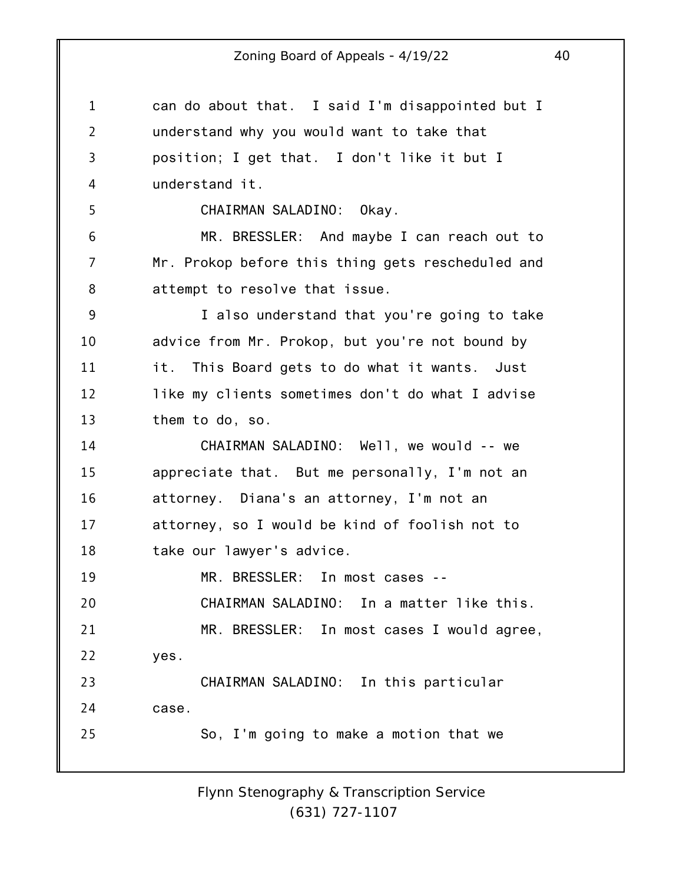1 2 3 4 5 6 7 8 9 10 11 12 13 14 15 16 17 18 19 20 21 22 23 24 25 can do about that. I said I'm disappointed but I understand why you would want to take that position; I get that. I don't like it but I understand it. CHAIRMAN SALADINO: Okay. MR. BRESSLER: And maybe I can reach out to Mr. Prokop before this thing gets rescheduled and attempt to resolve that issue. I also understand that you're going to take advice from Mr. Prokop, but you're not bound by it. This Board gets to do what it wants. Just like my clients sometimes don't do what I advise them to do, so. CHAIRMAN SALADINO: Well, we would -- we appreciate that. But me personally, I'm not an attorney. Diana's an attorney, I'm not an attorney, so I would be kind of foolish not to take our lawyer's advice. MR. BRESSLER: In most cases -- CHAIRMAN SALADINO: In a matter like this. MR. BRESSLER: In most cases I would agree, yes. CHAIRMAN SALADINO: In this particular case. So, I'm going to make a motion that we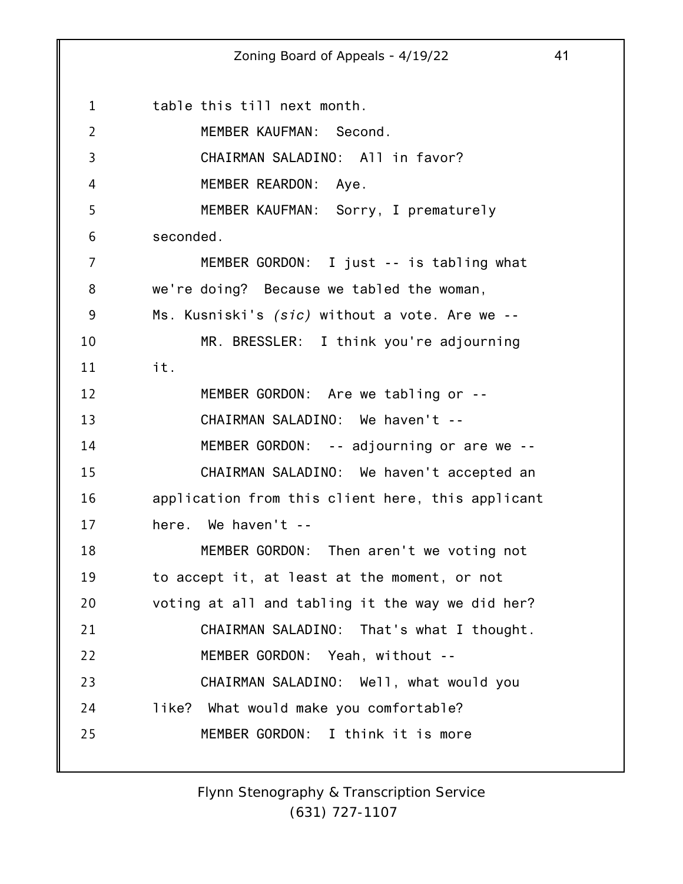1 2 3 4 5 6 7 8 9 10 11 12 13 14 15 16 17 18 19 20 21 22 23 24 25 Zoning Board of Appeals - 4/19/22 41 table this till next month. MEMBER KAUFMAN: Second. CHAIRMAN SALADINO: All in favor? MEMBER REARDON: Aye. MEMBER KAUFMAN: Sorry, I prematurely seconded. MEMBER GORDON: I just -- is tabling what we're doing? Because we tabled the woman, Ms. Kusniski's *(sic)* without a vote. Are we -- MR. BRESSLER: I think you're adjourning it. MEMBER GORDON: Are we tabling or -- CHAIRMAN SALADINO: We haven't -- MEMBER GORDON: -- adjourning or are we -- CHAIRMAN SALADINO: We haven't accepted an application from this client here, this applicant here. We haven't -- MEMBER GORDON: Then aren't we voting not to accept it, at least at the moment, or not voting at all and tabling it the way we did her? CHAIRMAN SALADINO: That's what I thought. MEMBER GORDON: Yeah, without -- CHAIRMAN SALADINO: Well, what would you like? What would make you comfortable? MEMBER GORDON: I think it is more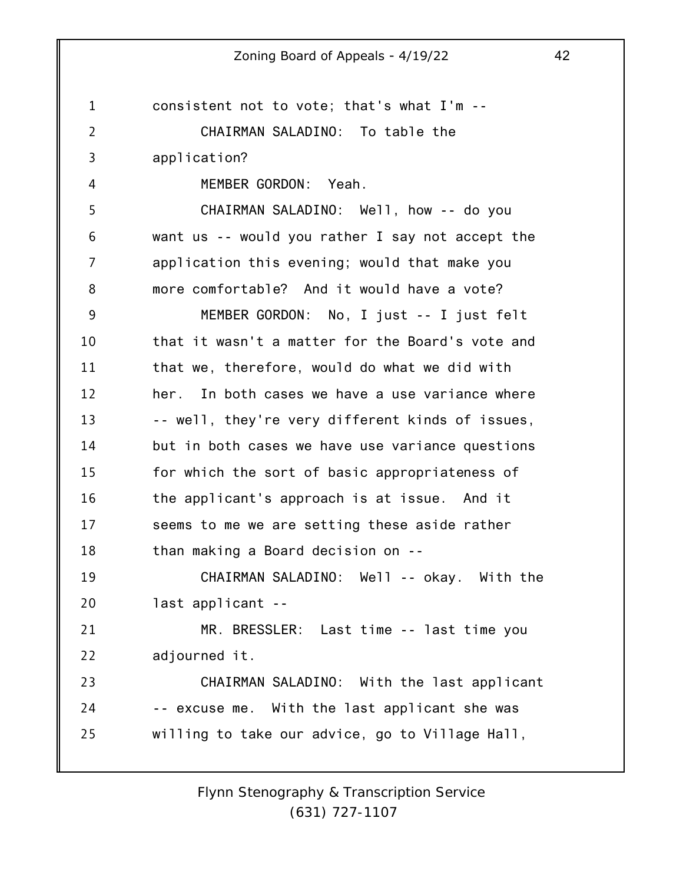1 2 3 4 5 6 7 8 9 10 11 12 13 14 15 16 17 18 19 20 21 22 23 24 25 consistent not to vote; that's what I'm -- CHAIRMAN SALADINO: To table the application? MEMBER GORDON: Yeah. CHAIRMAN SALADINO: Well, how -- do you want us -- would you rather I say not accept the application this evening; would that make you more comfortable? And it would have a vote? MEMBER GORDON: No, I just -- I just felt that it wasn't a matter for the Board's vote and that we, therefore, would do what we did with her. In both cases we have a use variance where -- well, they're very different kinds of issues, but in both cases we have use variance questions for which the sort of basic appropriateness of the applicant's approach is at issue. And it seems to me we are setting these aside rather than making a Board decision on -- CHAIRMAN SALADINO: Well -- okay. With the last applicant -- MR. BRESSLER: Last time -- last time you adjourned it. CHAIRMAN SALADINO: With the last applicant -- excuse me. With the last applicant she was willing to take our advice, go to Village Hall,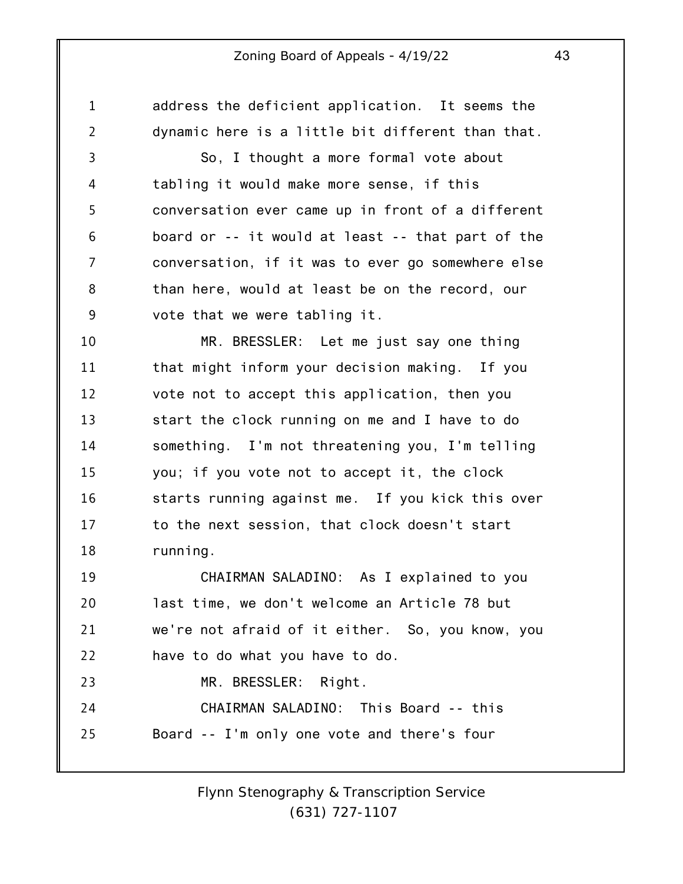1 2 3 4 5 6 7 8 9 10 11 12 13 14 15 16 17 18 19 20 21 22 23 24 25 address the deficient application. It seems the dynamic here is a little bit different than that. So, I thought a more formal vote about tabling it would make more sense, if this conversation ever came up in front of a different board or -- it would at least -- that part of the conversation, if it was to ever go somewhere else than here, would at least be on the record, our vote that we were tabling it. MR. BRESSLER: Let me just say one thing that might inform your decision making. If you vote not to accept this application, then you start the clock running on me and I have to do something. I'm not threatening you, I'm telling you; if you vote not to accept it, the clock starts running against me. If you kick this over to the next session, that clock doesn't start running. CHAIRMAN SALADINO: As I explained to you last time, we don't welcome an Article 78 but we're not afraid of it either. So, you know, you have to do what you have to do. MR. BRESSLER: Right. CHAIRMAN SALADINO: This Board -- this Board -- I'm only one vote and there's four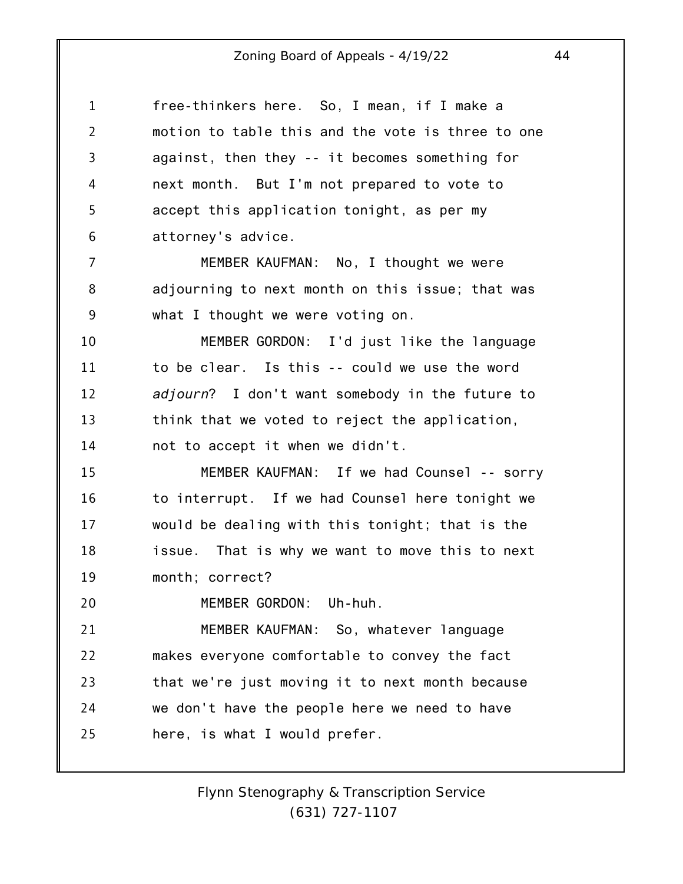| 1  | free-thinkers here. So, I mean, if I make a        |
|----|----------------------------------------------------|
| 2  | motion to table this and the vote is three to one  |
| 3  | against, then they -- it becomes something for     |
| 4  | next month. But I'm not prepared to vote to        |
| 5  | accept this application tonight, as per my         |
| 6  | attorney's advice.                                 |
| 7  | MEMBER KAUFMAN: No, I thought we were              |
| 8  | adjourning to next month on this issue; that was   |
| 9  | what I thought we were voting on.                  |
| 10 | MEMBER GORDON: I'd just like the language          |
| 11 | to be clear. Is this -- could we use the word      |
| 12 | adjourn? I don't want somebody in the future to    |
| 13 | think that we voted to reject the application,     |
| 14 | not to accept it when we didn't.                   |
| 15 | MEMBER KAUFMAN: If we had Counsel -- sorry         |
| 16 | to interrupt. If we had Counsel here tonight we    |
| 17 | would be dealing with this tonight; that is the    |
| 18 | That is why we want to move this to next<br>issue. |
| 19 | month; correct?                                    |
| 20 | MEMBER GORDON: Uh-huh.                             |
| 21 | MEMBER KAUFMAN: So, whatever language              |
| 22 | makes everyone comfortable to convey the fact      |
| 23 | that we're just moving it to next month because    |
| 24 | we don't have the people here we need to have      |
| 25 | here, is what I would prefer.                      |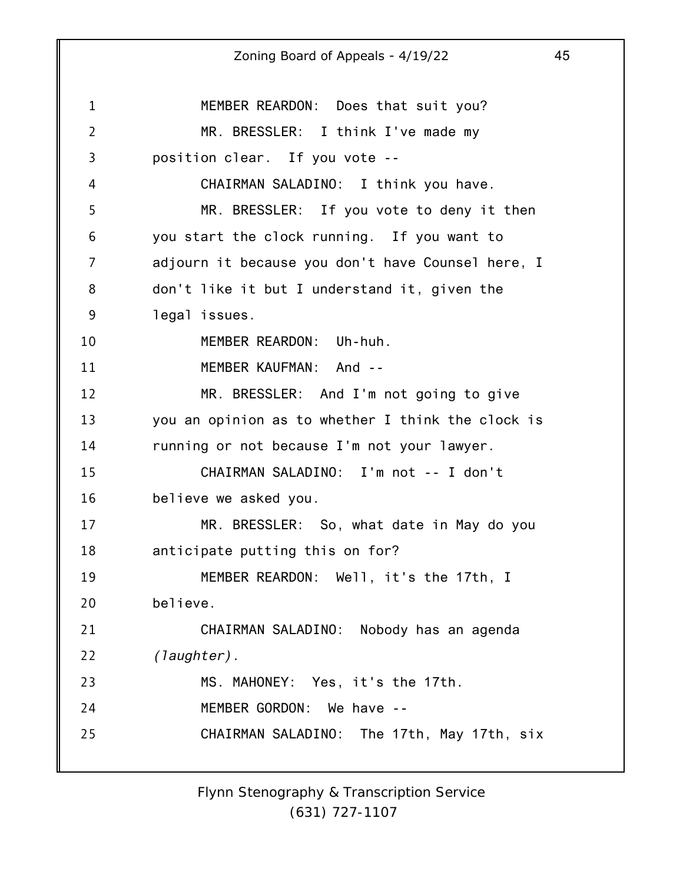#### 1 2 3 4 5 6 7 8 9 10 11 12 13 14 15 16 17 18 19 20 21 22 23 24 25 Zoning Board of Appeals - 4/19/22 45 MEMBER REARDON: Does that suit you? MR. BRESSLER: I think I've made my position clear. If you vote -- CHAIRMAN SALADINO: I think you have. MR. BRESSLER: If you vote to deny it then you start the clock running. If you want to adjourn it because you don't have Counsel here, I don't like it but I understand it, given the legal issues. MEMBER REARDON: Uh-huh. MEMBER KAUFMAN: And -- MR. BRESSLER: And I'm not going to give you an opinion as to whether I think the clock is running or not because I'm not your lawyer. CHAIRMAN SALADINO: I'm not -- I don't believe we asked you. MR. BRESSLER: So, what date in May do you anticipate putting this on for? MEMBER REARDON: Well, it's the 17th, I believe. CHAIRMAN SALADINO: Nobody has an agenda *(laughter).* MS. MAHONEY: Yes, it's the 17th. MEMBER GORDON: We have -- CHAIRMAN SALADINO: The 17th, May 17th, six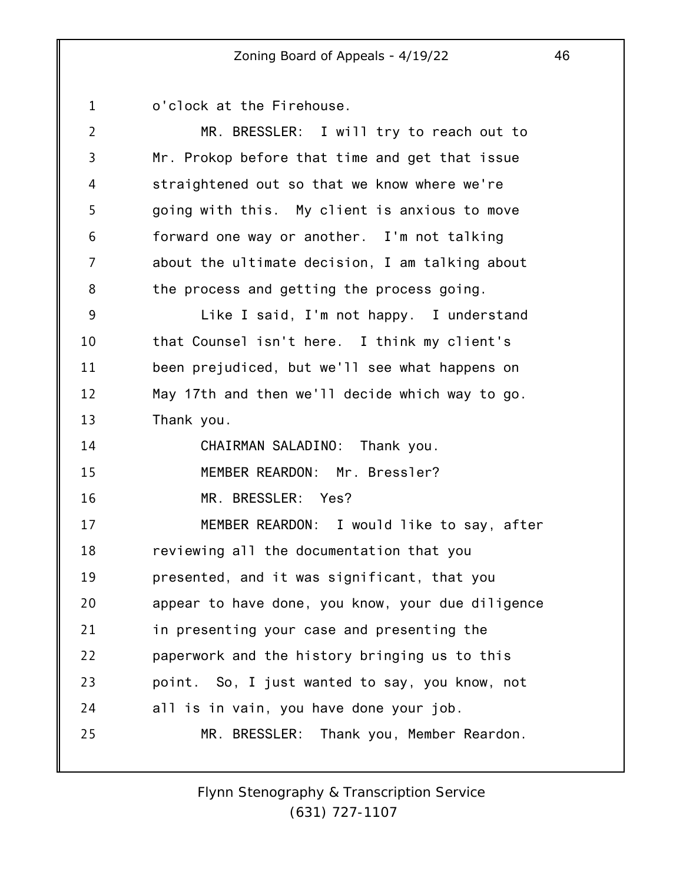1 o'clock at the Firehouse.

| $\overline{2}$ | MR. BRESSLER: I will try to reach out to          |
|----------------|---------------------------------------------------|
| 3              | Mr. Prokop before that time and get that issue    |
| 4              | straightened out so that we know where we're      |
| 5              | going with this. My client is anxious to move     |
| 6              | forward one way or another. I'm not talking       |
| 7              | about the ultimate decision, I am talking about   |
| 8              | the process and getting the process going.        |
| 9              | Like I said, I'm not happy. I understand          |
| 10             | that Counsel isn't here. I think my client's      |
| 11             | been prejudiced, but we'll see what happens on    |
| 12             | May 17th and then we'll decide which way to go.   |
| 13             | Thank you.                                        |
| 14             | CHAIRMAN SALADINO: Thank you.                     |
| 15             | MEMBER REARDON: Mr. Bressler?                     |
| 16             | MR. BRESSLER: Yes?                                |
| 17             | MEMBER REARDON: I would like to say, after        |
| 18             | reviewing all the documentation that you          |
| 19             | presented, and it was significant, that you       |
| 20             | appear to have done, you know, your due diligence |
| 21             | in presenting your case and presenting the        |
|                |                                                   |
| 22             | paperwork and the history bringing us to this     |
| 23             | point. So, I just wanted to say, you know, not    |
| 24             | all is in vain, you have done your job.           |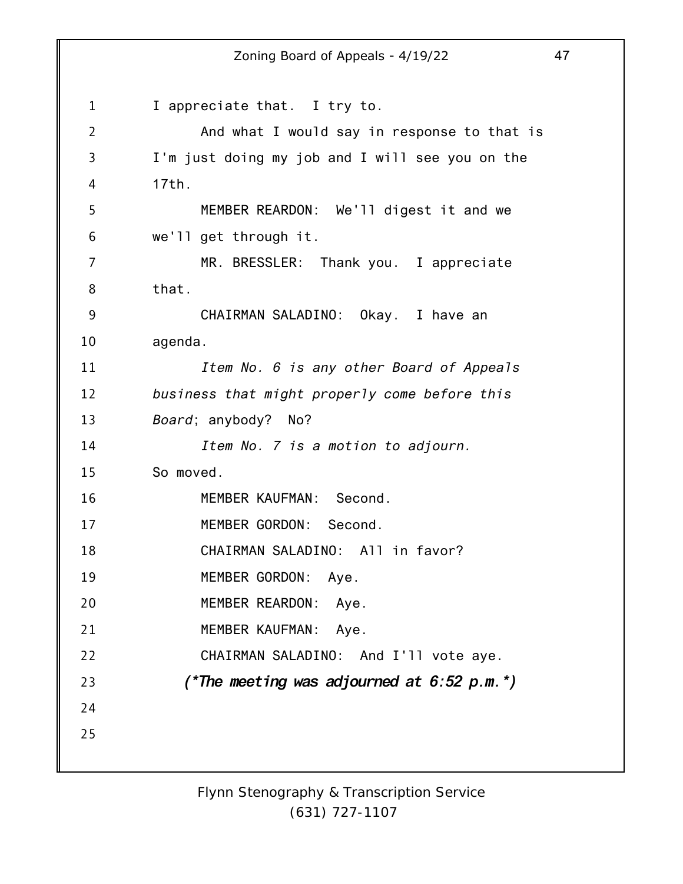1 2 3 4 5 6 7 8 9 10 11 12 13 14 15 16 17 18 19 20 21 22 23 24 25 Zoning Board of Appeals - 4/19/22 47 I appreciate that. I try to. And what I would say in response to that is I'm just doing my job and I will see you on the 17th. MEMBER REARDON: We'll digest it and we we'll get through it. MR. BRESSLER: Thank you. I appreciate that. CHAIRMAN SALADINO: Okay. I have an agenda. *Item No. 6 is any other Board of Appeals business that might properly come before this Board*; anybody? No? *Item No. 7 is a motion to adjourn.* So moved. MEMBER KAUFMAN: Second. MEMBER GORDON: Second. CHAIRMAN SALADINO: All in favor? MEMBER GORDON: Aye. MEMBER REARDON: Aye. MEMBER KAUFMAN: Aye. CHAIRMAN SALADINO: And I'll vote aye. *(\*The meeting was adjourned at 6:52 p.m.\*)*